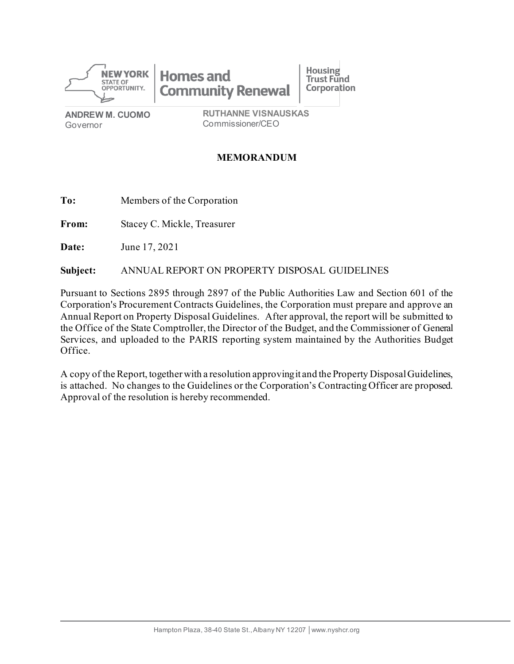

**Homes and Community Renewal** 

**ANDREW M. CUOMO** Governor

**RUTHANNE VISNAUSKAS** Commissioner/CEO

**Housing** 

**Trust Fund** 

**Corporation** 

## **MEMORANDUM**

**To:** Members of the Corporation

**From:** Stacey C. Mickle, Treasurer

**Date:** June 17, 2021

**Subject:** ANNUAL REPORT ON PROPERTY DISPOSAL GUIDELINES

Pursuant to Sections 2895 through 2897 of the Public Authorities Law and Section 601 of the Corporation's Procurement Contracts Guidelines, the Corporation must prepare and approve an Annual Report on Property Disposal Guidelines. After approval, the report will be submitted to the Office of the State Comptroller, the Director of the Budget, and the Commissioner of General Services, and uploaded to the PARIS reporting system maintained by the Authorities Budget Office.

A copy of the Report, together with a resolution approving it and the Property Disposal Guidelines, is attached. No changes to the Guidelines or the Corporation's Contracting Officer are proposed. Approval of the resolution is hereby recommended.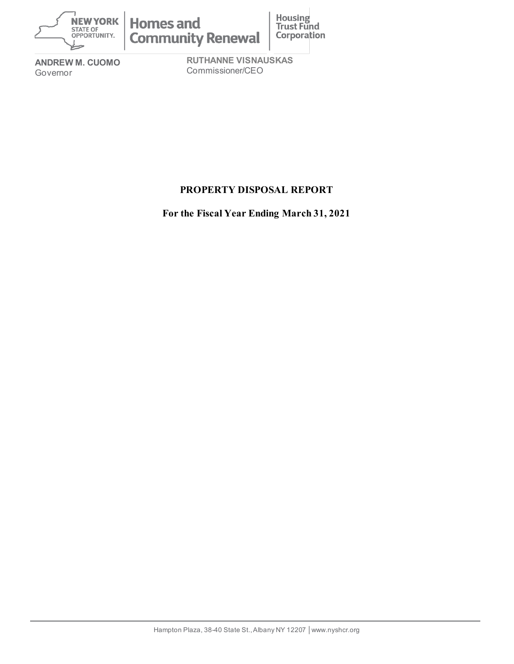

**ANDREW M. CUOMO** Governor

**RUTHANNE VISNAUSKAS** Commissioner/CEO

# **PROPERTY DISPOSAL REPORT**

**For the Fiscal Year Ending March 31, 2021**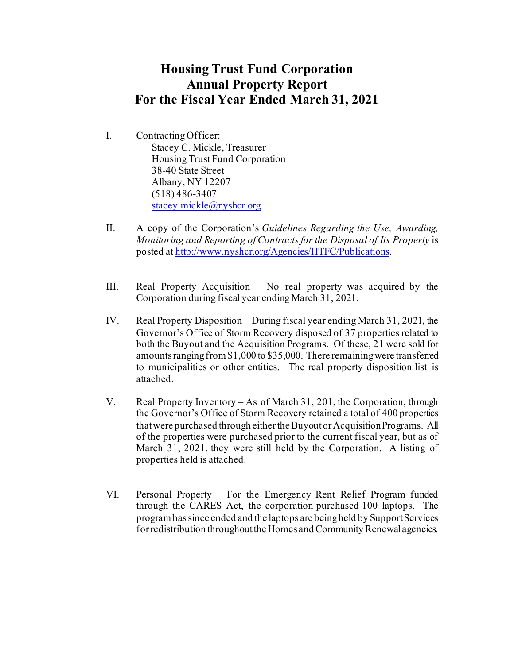# **Housing Trust Fund Corporation Annual Property Report For the Fiscal Year Ended March 31, 2021**

- I. Contracting Officer: Stacey C. Mickle, Treasurer Housing Trust Fund Corporation 38-40 State Street Albany, NY 12207 (518) 486-3407 [stacey.mickle@nyshcr.org](mailto:stacey.mickle@nyshcr.org)
- II. A copy of the Corporation's *Guidelines Regarding the Use, Awarding, Monitoring and Reporting of Contracts for the Disposal of Its Property* is posted a[t http://www.nyshcr.org/Agencies/HTFC/Publications](http://www.nyshcr.org/Agencies/HTFC/Publications).
- III. Real Property Acquisition No real property was acquired by the Corporation during fiscal year ending March 31, 2021.
- IV. Real Property Disposition During fiscal year ending March 31, 2021, the Governor's Office of Storm Recovery disposed of 37 properties related to both the Buyout and the Acquisition Programs. Of these, 21 were sold for amounts ranging from \$1,000 to \$35,000. There remaining were transferred to municipalities or other entities. The real property disposition list is attached.
- V. Real Property Inventory As of March 31, 201, the Corporation, through the Governor's Office of Storm Recovery retained a total of 400 properties that were purchased through either the Buyout or Acquisition Programs. All of the properties were purchased prior to the current fiscal year, but as of March 31, 2021, they were still held by the Corporation. A listing of properties held is attached.
- VI. Personal Property For the Emergency Rent Relief Program funded through the CARES Act, the corporation purchased 100 laptops. The program has since ended and the laptops are being held by Support Services for redistribution throughout the Homes and Community Renewal agencies.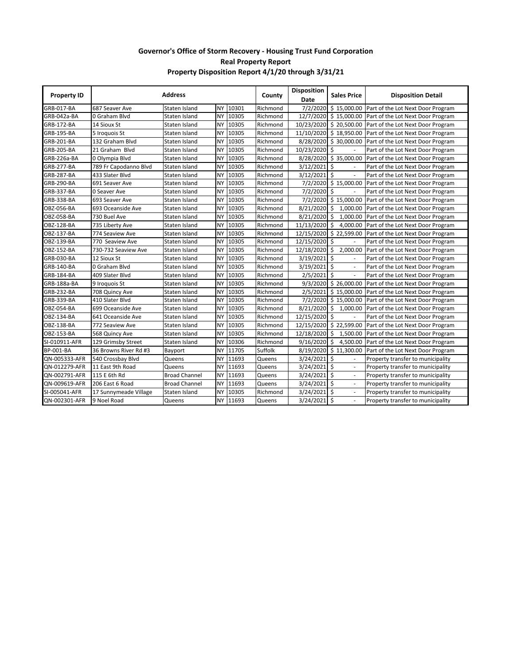#### **Governor's Office of Storm Recovery - Housing Trust Fund Corporation Real Property Report Property Disposition Report 4/1/20 through 3/31/21**

| <b>Property ID</b> | <b>Address</b>        |                      |           | County | <b>Disposition</b><br>Date | <b>Sales Price</b> | <b>Disposition Detail</b>       |                                   |
|--------------------|-----------------------|----------------------|-----------|--------|----------------------------|--------------------|---------------------------------|-----------------------------------|
| GRB-017-BA         | 687 Seaver Ave        | Staten Island        | <b>NY</b> | 10301  | Richmond                   | 7/2/2020           | \$15,000.00                     | Part of the Lot Next Door Program |
| GRB-042a-BA        | 0 Graham Blvd         | Staten Island        | <b>NY</b> | 10305  | Richmond                   |                    | 12/7/2020 \$15,000.00           | Part of the Lot Next Door Program |
| <b>GRB-172-BA</b>  | 14 Sioux St           | Staten Island        | NY        | 10305  | Richmond                   |                    | 10/23/2020 \$20,500.00          | Part of the Lot Next Door Program |
| <b>GRB-195-BA</b>  | 5 Iroquois St         | Staten Island        | <b>NY</b> | 10305  | Richmond                   | 11/10/2020         | \$18,950.00                     | Part of the Lot Next Door Program |
| GRB-201-BA         | 132 Graham Blvd       | Staten Island        | NY        | 10305  | Richmond                   | 8/28/2020          | \$30,000.00                     | Part of the Lot Next Door Program |
| <b>GRB-205-BA</b>  | 21 Graham Blvd        | Staten Island        | <b>NY</b> | 10305  | Richmond                   | 10/23/2020         | Ŝ.                              | Part of the Lot Next Door Program |
| GRB-226a-BA        | 0 Olympia Blvd        | Staten Island        | NY        | 10305  | Richmond                   |                    | 8/28/2020 \$35,000.00           | Part of the Lot Next Door Program |
| GRB-277-BA         | 789 Fr Capodanno Blvd | Staten Island        | <b>NY</b> | 10305  | Richmond                   | 3/12/2021          | \$                              | Part of the Lot Next Door Program |
| <b>GRB-287-BA</b>  | 433 Slater Blvd       | Staten Island        | <b>NY</b> | 10305  | Richmond                   | 3/12/2021          | $\mathsf{\hat{S}}$              | Part of the Lot Next Door Program |
| <b>GRB-290-BA</b>  | 691 Seaver Ave        | Staten Island        | <b>NY</b> | 10305  | Richmond                   |                    | 7/2/2020 \$15,000.00            | Part of the Lot Next Door Program |
| <b>GRB-337-BA</b>  | 0 Seaver Ave          | Staten Island        | <b>NY</b> | 10305  | Richmond                   | $7/2/2020$ \$      |                                 | Part of the Lot Next Door Program |
| GRB-338-BA         | 693 Seaver Ave        | Staten Island        | <b>NY</b> | 10305  | Richmond                   |                    | 7/2/2020 \$15,000.00            | Part of the Lot Next Door Program |
| OBZ-056-BA         | 693 Oceanside Ave     | Staten Island        | <b>NY</b> | 10305  | Richmond                   | 8/21/2020          | \$1,000.00                      | Part of the Lot Next Door Program |
| OBZ-058-BA         | 730 Buel Ave          | Staten Island        | <b>NY</b> | 10305  | Richmond                   | 8/21/2020          | \$<br>1,000.00                  | Part of the Lot Next Door Program |
| OBZ-128-BA         | 735 Liberty Ave       | Staten Island        | <b>NY</b> | 10305  | Richmond                   | 11/13/2020         | $\ddot{\mathsf{s}}$<br>4,000.00 | Part of the Lot Next Door Program |
| OBZ-137-BA         | 774 Seaview Ave       | Staten Island        | <b>NY</b> | 10305  | Richmond                   | 12/15/2020         | \$22,599.00                     | Part of the Lot Next Door Program |
| <b>OBZ-139-BA</b>  | 770 Seaview Ave       | Staten Island        | <b>NY</b> | 10305  | Richmond                   | 12/15/2020         | \$                              | Part of the Lot Next Door Program |
| <b>OBZ-152-BA</b>  | 730-732 Seaview Ave   | Staten Island        | <b>NY</b> | 10305  | Richmond                   | 12/18/2020         | \$<br>2,000.00                  | Part of the Lot Next Door Program |
| <b>GRB-030-BA</b>  | 12 Sioux St           | Staten Island        | <b>NY</b> | 10305  | Richmond                   | 3/19/2021          | \$                              | Part of the Lot Next Door Program |
| <b>GRB-140-BA</b>  | 0 Graham Blvd         | Staten Island        | <b>NY</b> | 10305  | Richmond                   | 3/19/2021          | \$                              | Part of the Lot Next Door Program |
| <b>GRB-184-BA</b>  | 409 Slater Blvd       | Staten Island        | NY        | 10305  | Richmond                   | 2/5/2021           | \$                              | Part of the Lot Next Door Program |
| GRB-188a-BA        | 9 Iroquois St         | Staten Island        | <b>NY</b> | 10305  | Richmond                   | 9/3/2020           | \$26,000.00                     | Part of the Lot Next Door Program |
| GRB-232-BA         | 708 Quincy Ave        | Staten Island        | NY        | 10305  | Richmond                   | 2/5/2021           | \$15,000.00                     | Part of the Lot Next Door Program |
| GRB-339-BA         | 410 Slater Blvd       | Staten Island        | <b>NY</b> | 10305  | Richmond                   | 7/2/2020           | \$15,000.00                     | Part of the Lot Next Door Program |
| OBZ-054-BA         | 699 Oceanside Ave     | Staten Island        | <b>NY</b> | 10305  | Richmond                   | 8/21/2020          | \$1,000.00                      | Part of the Lot Next Door Program |
| OBZ-134-BA         | 641 Oceanside Ave     | Staten Island        | <b>NY</b> | 10305  | Richmond                   | 12/15/2020 \$      |                                 | Part of the Lot Next Door Program |
| OBZ-138-BA         | 772 Seaview Ave       | Staten Island        | <b>NY</b> | 10305  | Richmond                   | 12/15/2020         | \$22,599.00                     | Part of the Lot Next Door Program |
| OBZ-153-BA         | 568 Quincy Ave        | Staten Island        | <b>NY</b> | 10305  | Richmond                   | 12/18/2020         | \$1,500.00                      | Part of the Lot Next Door Program |
| SI-010911-AFR      | 129 Grimsby Street    | Staten Island        | <b>NY</b> | 10306  | Richmond                   | 9/16/2020          | \$4,500.00                      | Part of the Lot Next Door Program |
| <b>BP-001-BA</b>   | 36 Browns River Rd #3 | Bayport              | <b>NY</b> | 11705  | Suffolk                    | 8/19/2020          | \$11,300.00                     | Part of the Lot Next Door Program |
| QN-005333-AFR      | 540 Crossbay Blvd     | Queens               | <b>NY</b> | 11693  | Queens                     | 3/24/2021          | Ś<br>$\mathbf{r}$               | Property transfer to municipality |
| QN-012279-AFR      | 11 East 9th Road      | Queens               | NY        | 11693  | Queens                     | 3/24/2021          | \$<br>$\blacksquare$            | Property transfer to municipality |
| QN-002791-AFR      | 115 E 6th Rd          | <b>Broad Channel</b> | <b>NY</b> | 11693  | Queens                     | 3/24/2021          | Ś.<br>$\blacksquare$            | Property transfer to municipality |
| QN-009619-AFR      | 206 East 6 Road       | <b>Broad Channel</b> | <b>NY</b> | 11693  | Queens                     | 3/24/2021          | Ŝ.<br>$\blacksquare$            | Property transfer to municipality |
| SI-005041-AFR      | 17 Sunnymeade Village | Staten Island        | <b>NY</b> | 10305  | Richmond                   | 3/24/2021          | Ŝ.<br>$\overline{\phantom{a}}$  | Property transfer to municipality |
| QN-002301-AFR      | 9 Noel Road           | Queens               | NY I      | 11693  | Queens                     | 3/24/2021          | -\$                             | Property transfer to municipality |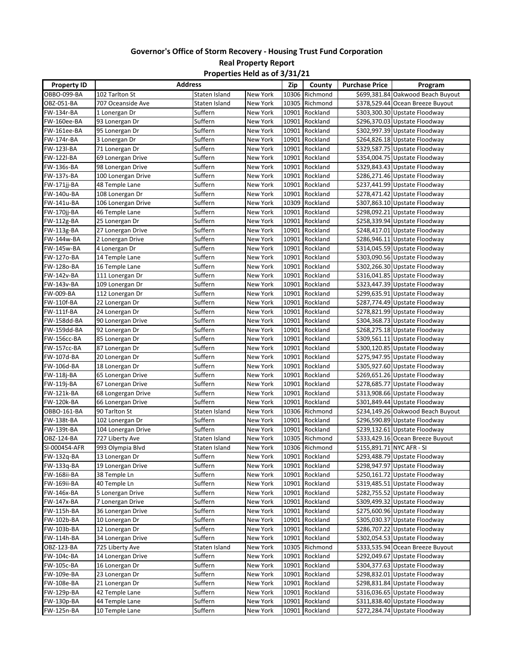#### **Governor's Office of Storm Recovery - Housing Trust Fund Corporation Real Property Report Properties Held as of 3/31/21**

| <b>Property ID</b> | <b>Address</b>     |               |                 | Zip   | County         | <b>Purchase Price</b> | Program                           |
|--------------------|--------------------|---------------|-----------------|-------|----------------|-----------------------|-----------------------------------|
| OBBO-099-BA        | 102 Tarlton St     | Staten Island | New York        |       | 10306 Richmond |                       | \$699,381.84 Oakwood Beach Buyout |
| OBZ-051-BA         | 707 Oceanside Ave  | Staten Island | New York        | 10305 | Richmond       |                       | \$378,529.44 Ocean Breeze Buyout  |
| FW-134r-BA         | 1 Lonergan Dr      | Suffern       | New York        | 10901 | Rockland       |                       | \$303,300.30 Upstate Floodway     |
| FW-160ee-BA        | 93 Lonergan Dr     | Suffern       | New York        | 10901 | Rockland       |                       | \$296,370.03 Upstate Floodway     |
| FW-161ee-BA        | 95 Lonergan Dr     | Suffern       | New York        | 10901 | Rockland       |                       | \$302,997.39 Upstate Floodway     |
| FW-174r-BA         | 3 Lonergan Dr      | Suffern       | New York        | 10901 | Rockland       |                       | \$264,826.18 Upstate Floodway     |
| FW-123I-BA         | 71 Lonergan Dr     | Suffern       | New York        | 10901 | Rockland       |                       | \$329,587.75 Upstate Floodway     |
| FW-122I-BA         | 69 Lonergan Drive  | Suffern       | New York        | 10901 | Rockland       |                       | \$354,004.75 Upstate Floodway     |
| FW-136s-BA         | 98 Lonergan Drive  | Suffern       | New York        | 10901 | Rockland       |                       | \$329,843.43 Upstate Floodway     |
| FW-137s-BA         | 100 Lonergan Drive | Suffern       | New York        | 10901 | Rockland       |                       | \$286,271.46 Upstate Floodway     |
| FW-171jj-BA        | 48 Temple Lane     | Suffern       | New York        | 10901 | Rockland       |                       | \$237,441.99 Upstate Floodway     |
| FW-140u-BA         | 108 Lonergan Dr    | Suffern       | New York        | 10901 | Rockland       |                       | \$278,471.42 Upstate Floodway     |
| FW-141u-BA         | 106 Lonergan Drive | Suffern       | New York        | 10309 | Rockland       |                       | \$307,863.10 Upstate Floodway     |
| FW-170jj-BA        | 46 Temple Lane     | Suffern       | New York        | 10901 | Rockland       |                       | \$298,092.21 Upstate Floodway     |
| FW-112g-BA         | 25 Lonergan Dr     | Suffern       | New York        | 10901 | Rockland       |                       | \$258,339.94 Upstate Floodway     |
| FW-113g-BA         | 27 Lonergan Drive  | Suffern       | New York        | 10901 | Rockland       |                       | \$248,417.01 Upstate Floodway     |
| FW-144w-BA         | 2 Lonergan Drive   | Suffern       | New York        | 10901 | Rockland       |                       | \$286,946.11 Upstate Floodway     |
| FW-145w-BA         | 4 Lonergan Dr      | Suffern       | New York        | 10901 | Rockland       |                       | \$314,045.59 Upstate Floodway     |
| FW-127o-BA         | 14 Temple Lane     | Suffern       | New York        | 10901 | Rockland       |                       | \$303,090.56 Upstate Floodway     |
| FW-128o-BA         | 16 Temple Lane     | Suffern       | New York        | 10901 | Rockland       |                       | \$302,266.30 Upstate Floodway     |
| FW-142v-BA         | 111 Lonergan Dr    | Suffern       | New York        | 10901 | Rockland       |                       | \$316,041.85 Upstate Floodway     |
| FW-143v-BA         | 109 Lonergan Dr    | Suffern       | <b>New York</b> | 10901 | Rockland       |                       | \$323,447.39 Upstate Floodway     |
| FW-009-BA          | 112 Lonergan Dr    | Suffern       | New York        | 10901 | Rockland       |                       | \$299,635.91 Upstate Floodway     |
| FW-110f-BA         | 22 Lonergan Dr     | Suffern       | New York        | 10901 | Rockland       |                       | \$287,774.49 Upstate Floodway     |
| FW-111f-BA         | 24 Lonergan Dr     | Suffern       | New York        | 10901 | Rockland       |                       | \$278,821.99 Upstate Floodway     |
| FW-158dd-BA        | 90 Lonergan Drive  | Suffern       | New York        | 10901 | Rockland       |                       | \$304,368.73 Upstate Floodway     |
| FW-159dd-BA        | 92 Lonergan Dr     | Suffern       | New York        | 10901 | Rockland       |                       | \$268,275.18 Upstate Floodway     |
| FW-156cc-BA        | 85 Lonergan Dr     | Suffern       | New York        | 10901 | Rockland       |                       | \$309,561.11 Upstate Floodway     |
| FW-157cc-BA        | 87 Lonergan Dr     | Suffern       | New York        | 10901 | Rockland       |                       | \$300,120.85 Upstate Floodway     |
| FW-107d-BA         | 20 Lonergan Dr     | Suffern       | New York        | 10901 | Rockland       |                       | \$275,947.95 Upstate Floodway     |
| FW-106d-BA         | 18 Lonergan Dr     | Suffern       | New York        | 10901 | Rockland       |                       | \$305,927.60 Upstate Floodway     |
| FW-118j-BA         | 65 Lonergan Drive  | Suffern       | New York        | 10901 | Rockland       |                       | \$269,651.26 Upstate Floodway     |
| FW-119j-BA         | 67 Lonergan Drive  | Suffern       | New York        | 10901 | Rockland       |                       | \$278,685.77 Upstate Floodway     |
| FW-121k-BA         | 68 Longergan Drive | Suffern       | New York        | 10901 | Rockland       |                       | \$313,908.66 Upstate Floodway     |
| FW-120k-BA         | 66 Lonergan Drive  | Suffern       | New York        | 10901 | Rockland       |                       | \$301,849.44 Upstate Floodway     |
| OBBO-161-BA        | 90 Tarlton St      | Staten Island | New York        | 10306 | Richmond       |                       | \$234,149.26 Oakwood Beach Buyout |
| FW-138t-BA         | 102 Lonergan Dr    | Suffern       | New York        | 10901 | Rockland       |                       | \$296,590.89 Upstate Floodway     |
| FW-139t-BA         | 104 Lonergan Drive | Suffern       | New York        | 10901 | Rockland       |                       | \$239,132.61 Upstate Floodway     |
| OBZ-124-BA         | 727 Liberty Ave    | Staten Island | New York        | 10305 | Richmond       |                       | \$333,429.16 Ocean Breeze Buyout  |
| SI-000454-AFR      | 993 Olympia Blvd   | Staten Island | New York        |       | 10306 Richmond |                       | \$155,891.71 NYC AFR - SI         |
| FW-132q-BA         | 13 Lonergan Dr     | Suffern       | New York        |       | 10901 Rockland |                       | \$293,488.79 Upstate Floodway     |
| FW-133q-BA         | 19 Lonergan Drive  | Suffern       | New York        |       | 10901 Rockland |                       | \$298,947.97 Upstate Floodway     |
| FW-168ii-BA        | 38 Temple Ln       | Suffern       | New York        | 10901 | Rockland       |                       | \$250,161.72 Upstate Floodway     |
| FW-169ii-BA        | 40 Temple Ln       | Suffern       | New York        | 10901 | Rockland       |                       | \$319,485.51 Upstate Floodway     |
| FW-146x-BA         | 5 Lonergan Drive   | Suffern       | New York        | 10901 | Rockland       |                       | \$282,755.52 Upstate Floodway     |
| FW-147x-BA         | 7 Lonergan Drive   | Suffern       | New York        | 10901 | Rockland       |                       | \$309,499.32 Upstate Floodway     |
| FW-115h-BA         | 36 Lonergan Drive  | Suffern       | New York        | 10901 | Rockland       |                       | \$275,600.96 Upstate Floodway     |
| FW-102b-BA         | 10 Lonergan Dr     | Suffern       | New York        | 10901 | Rockland       |                       | \$305,030.37 Upstate Floodway     |
| FW-103b-BA         | 12 Lonergan Dr     | Suffern       | New York        | 10901 | Rockland       |                       | \$286,707.22 Upstate Floodway     |
| FW-114h-BA         | 34 Lonergan Drive  | Suffern       | New York        | 10901 | Rockland       |                       | \$302,054.53 Upstate Floodway     |
| OBZ-123-BA         | 725 Liberty Ave    | Staten Island | New York        | 10305 | Richmond       |                       | \$333,535.94 Ocean Breeze Buyout  |
| FW-104c-BA         | 14 Lonergan Drive  | Suffern       | New York        | 10901 | Rockland       |                       | \$292,049.67 Upstate Floodway     |
| FW-105c-BA         | 16 Lonergan Dr     | Suffern       | New York        | 10901 | Rockland       |                       | \$304,377.63 Upstate Floodway     |
| FW-109e-BA         | 23 Lonergan Dr     | Suffern       | New York        | 10901 | Rockland       |                       | \$298,832.01 Upstate Floodway     |
| FW-108e-BA         | 21 Lonergan Dr     | Suffern       | New York        | 10901 | Rockland       |                       | \$298,831.84 Upstate Floodway     |
| FW-129p-BA         | 42 Temple Lane     | Suffern       | New York        | 10901 | Rockland       |                       | \$316,036.65 Upstate Floodway     |
| FW-130p-BA         | 44 Temple Lane     | Suffern       | New York        | 10901 | Rockland       |                       | \$311,838.40 Upstate Floodway     |
| FW-125n-BA         | 10 Temple Lane     | Suffern       | New York        |       | 10901 Rockland |                       | \$272,284.74 Upstate Floodway     |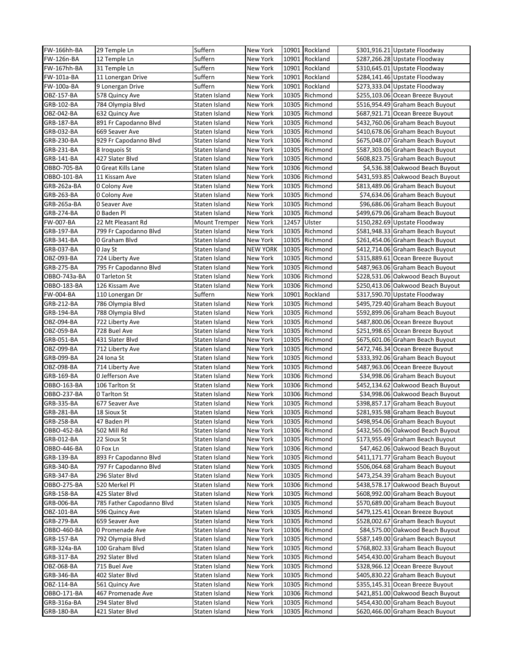| FW-166hh-BA        | 29 Temple Ln              | Suffern                  | New York        |       | 10901 Rockland | \$301,916.21 Upstate Floodway     |
|--------------------|---------------------------|--------------------------|-----------------|-------|----------------|-----------------------------------|
| FW-126n-BA         | 12 Temple Ln              | Suffern                  | New York        |       | 10901 Rockland | \$287,266.28 Upstate Floodway     |
| <b>FW-167hh-BA</b> | 31 Temple Ln              | Suffern                  | New York        |       | 10901 Rockland | \$310,645.01 Upstate Floodway     |
| FW-101a-BA         | 11 Lonergan Drive         | Suffern                  | New York        | 10901 | Rockland       | \$284,141.46 Upstate Floodway     |
| FW-100a-BA         | 9 Lonergan Drive          | Suffern                  | New York        | 10901 | Rockland       | \$273,333.04 Upstate Floodway     |
| OBZ-157-BA         | 578 Quincy Ave            | Staten Island            | New York        | 10305 | Richmond       | \$255,103.06 Ocean Breeze Buyout  |
| GRB-102-BA         | 784 Olympia Blvd          | Staten Island            | <b>New York</b> | 10305 | Richmond       | \$516,954.49 Graham Beach Buyout  |
| OBZ-042-BA         | 632 Quincy Ave            | Staten Island            | New York        | 10305 | Richmond       | \$687,921.71 Ocean Breeze Buyout  |
| GRB-187-BA         | 891 Fr Capodanno Blvd     | Staten Island            | New York        | 10305 | Richmond       | \$432,760.06 Graham Beach Buyout  |
| GRB-032-BA         | 669 Seaver Ave            | Staten Island            | New York        | 10305 | Richmond       | \$410,678.06 Graham Beach Buyout  |
| GRB-230-BA         | 929 Fr Capodanno Blvd     | Staten Island            | New York        |       | 10306 Richmond | \$675,048.07 Graham Beach Buyout  |
| GRB-231-BA         | 8 Iroquois St             | Staten Island            | <b>New York</b> | 10305 | Richmond       | \$587,303.06 Graham Beach Buyout  |
| GRB-141-BA         | 427 Slater Blvd           | Staten Island            | New York        | 10305 | Richmond       | \$608,823.75 Graham Beach Buyout  |
| OBBO-705-BA        | 0 Great Kills Lane        | Staten Island            | New York        |       | 10306 Richmond | \$4,536.38 Oakwood Beach Buyout   |
| OBBO-101-BA        | 11 Kissam Ave             | Staten Island            | New York        |       | 10306 Richmond | \$431,593.85 Oakwood Beach Buyout |
| GRB-262a-BA        | 0 Colony Ave              | Staten Island            | New York        |       | 10305 Richmond | \$813,489.06 Graham Beach Buyout  |
| GRB-263-BA         | 0 Colony Ave              | Staten Island            | New York        | 10305 | Richmond       | \$74,634.06 Graham Beach Buyout   |
| GRB-265a-BA        | 0 Seaver Ave              | Staten Island            | New York        | 10305 | Richmond       | \$96,686.06 Graham Beach Buyout   |
| GRB-274-BA         | 0 Baden Pl                | Staten Island            | New York        | 10305 | Richmond       | \$499,679.06 Graham Beach Buyout  |
| FW-007-BA          | 22 Mt Pleasant Rd         | <b>Mount Tremper</b>     | New York        | 12457 | Ulster         | \$150,282.69 Upstate Floodway     |
| GRB-197-BA         | 799 Fr Capodanno Blvd     | Staten Island            | New York        | 10305 | Richmond       | \$581,948.33 Graham Beach Buyout  |
| GRB-341-BA         | 0 Graham Blvd             | Staten Island            | <b>New York</b> | 10305 | Richmond       | \$261,454.06 Graham Beach Buyout  |
| <b>GRB-037-BA</b>  | 0 Jay St                  | Staten Island            | <b>NEW YORK</b> | 10305 | Richmond       | \$412,714.06 Graham Beach Buyout  |
| OBZ-093-BA         | 724 Liberty Ave           | Staten Island            | New York        |       | 10305 Richmond | \$315,889.61 Ocean Breeze Buyout  |
| GRB-275-BA         | 795 Fr Capodanno Blvd     | Staten Island            | New York        | 10305 | Richmond       | \$487,963.06 Graham Beach Buyout  |
| OBBO-743a-BA       | 0 Tarleton St             | Staten Island            | New York        |       | 10306 Richmond | \$228,531.06 Oakwood Beach Buyout |
| OBBO-183-BA        |                           |                          |                 |       | 10306 Richmond | \$250,413.06 Oakwood Beach Buyout |
| FW-004-BA          | 126 Kissam Ave            | Staten Island<br>Suffern | New York        | 10901 | Rockland       | \$317,590.70 Upstate Floodway     |
| GRB-212-BA         | 110 Lonergan Dr           |                          | New York        | 10305 |                |                                   |
|                    | 786 Olympia Blvd          | Staten Island            | New York        |       | Richmond       | \$495,729.40 Graham Beach Buyout  |
| GRB-194-BA         | 788 Olympia Blvd          | Staten Island            | New York        | 10305 | Richmond       | \$592,899.06 Graham Beach Buyout  |
| OBZ-094-BA         | 722 Liberty Ave           | Staten Island            | New York        |       | 10305 Richmond | \$487,800.06 Ocean Breeze Buyout  |
| OBZ-059-BA         | 728 Buel Ave              | Staten Island            | New York        | 10305 | Richmond       | \$251,998.65 Ocean Breeze Buyout  |
| GRB-051-BA         | 431 Slater Blvd           | Staten Island            | New York        | 10305 | Richmond       | \$675,601.06 Graham Beach Buyout  |
| OBZ-099-BA         | 712 Liberty Ave           | Staten Island            | New York        | 10305 | Richmond       | \$472,746.34 Ocean Breeze Buyout  |
| GRB-099-BA         | 24 Iona St                | Staten Island            | New York        | 10305 | Richmond       | \$333,392.06 Graham Beach Buyout  |
| OBZ-098-BA         | 714 Liberty Ave           | Staten Island            | New York        |       | 10305 Richmond | \$487,963.06 Ocean Breeze Buyout  |
| GRB-169-BA         | 0 Jefferson Ave           | Staten Island            | New York        | 10306 | Richmond       | \$34,998.06 Graham Beach Buyout   |
| OBBO-163-BA        | 106 Tarlton St            | Staten Island            | New York        |       | 10306 Richmond | \$452,134.62 Oakwood Beach Buyout |
| OBBO-237-BA        | 0 Tarlton St              | Staten Island            | New York        |       | 10306 Richmond | \$34,998.06 Oakwood Beach Buyout  |
| GRB-335-BA         | 677 Seaver Ave            | Staten Island            | New York        | 10305 | Richmond       | \$398,857.17 Graham Beach Buyout  |
| GRB-281-BA         | 18 Sioux St               | Staten Island            | New York        |       | 10305 Richmond | \$281,935.98 Graham Beach Buyout  |
| GRB-258-BA         | 47 Baden Pl               | Staten Island            | New York        |       | 10305 Richmond | \$498,954.06 Graham Beach Buyout  |
| OBBO-452-BA        | 502 Mill Rd               | Staten Island            | New York        |       | 10306 Richmond | \$432,565.06 Oakwood Beach Buyout |
| GRB-012-BA         | 22 Sioux St               | Staten Island            | New York        |       | 10305 Richmond | \$173,955.49 Graham Beach Buyout  |
| OBBO-446-BA        | 0 Fox Ln                  | Staten Island            | New York        |       | 10306 Richmond | \$47,462.06 Oakwood Beach Buyout  |
| GRB-139-BA         | 893 Fr Capodanno Blvd     | Staten Island            | New York        |       | 10305 Richmond | \$411,171.77 Graham Beach Buyout  |
| GRB-340-BA         | 797 Fr Capodanno Blvd     | Staten Island            | New York        |       | 10305 Richmond | \$506,064.68 Graham Beach Buyout  |
| GRB-347-BA         | 296 Slater Blvd           | Staten Island            | New York        |       | 10305 Richmond | \$473,254.39 Graham Beach Buyout  |
| OBBO-275-BA        | 520 Merkel Pl             | Staten Island            | New York        |       | 10306 Richmond | \$438,578.17 Oakwood Beach Buyout |
| GRB-158-BA         | 425 Slater Blvd           | Staten Island            | New York        |       | 10305 Richmond | \$608,992.00 Graham Beach Buyout  |
| GRB-006-BA         | 785 Father Capodanno Blvd | Staten Island            | New York        |       | 10305 Richmond | \$570,689.00 Graham Beach Buyout  |
| OBZ-101-BA         | 596 Quincy Ave            | Staten Island            | New York        |       | 10305 Richmond | \$479,125.41 Ocean Breeze Buyout  |
| GRB-279-BA         | 659 Seaver Ave            | Staten Island            | New York        |       | 10305 Richmond | \$528,002.67 Graham Beach Buyout  |
| OBBO-460-BA        | 0 Promenade Ave           | Staten Island            | New York        |       | 10306 Richmond | \$84,575.00 Oakwood Beach Buyout  |
| GRB-157-BA         | 792 Olympia Blvd          | Staten Island            | New York        |       | 10305 Richmond | \$587,149.00 Graham Beach Buyout  |
| GRB-324a-BA        | 100 Graham Blvd           | Staten Island            | New York        |       | 10305 Richmond | \$768,802.33 Graham Beach Buyout  |
| GRB-317-BA         | 292 Slater Blvd           | Staten Island            | New York        | 10305 | Richmond       | \$454,430.00 Graham Beach Buyout  |
| OBZ-068-BA         | 715 Buel Ave              | Staten Island            | New York        | 10305 | Richmond       | \$328,966.12 Ocean Breeze Buyout  |
| GRB-346-BA         | 402 Slater Blvd           | Staten Island            | New York        |       | 10305 Richmond | \$405,830.22 Graham Beach Buyout  |
| OBZ-114-BA         | 561 Quincy Ave            | Staten Island            | New York        |       | 10305 Richmond | \$355,145.31 Ocean Breeze Buyout  |
| OBBO-171-BA        | 467 Promenade Ave         | Staten Island            | New York        |       | 10306 Richmond | \$421,851.00 Oakwood Beach Buyout |
| GRB-316a-BA        | 294 Slater Blvd           | Staten Island            | New York        | 10305 | Richmond       | \$454,430.00 Graham Beach Buyout  |
| GRB-180-BA         | 421 Slater Blvd           | Staten Island            | New York        |       | 10305 Richmond | \$620,466.00 Graham Beach Buyout  |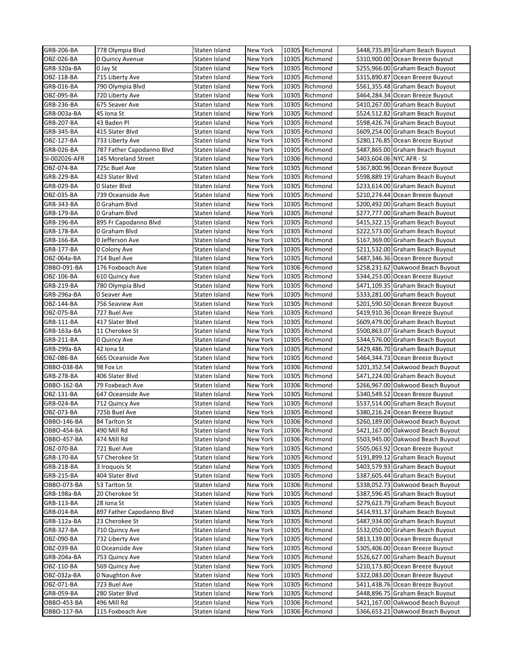| GRB-206-BA    | 778 Olympia Blvd          | Staten Island | New York |       | 10305 Richmond | \$448,735.89 Graham Beach Buyout  |
|---------------|---------------------------|---------------|----------|-------|----------------|-----------------------------------|
| OBZ-026-BA    | 0 Quincy Avenue           | Staten Island | New York |       | 10305 Richmond | \$310,900.00 Ocean Breeze Buyout  |
| GRB-320a-BA   | 0 Jay St                  | Staten Island | New York |       | 10305 Richmond | \$255,966.00 Graham Beach Buyout  |
| OBZ-118-BA    | 715 Liberty Ave           | Staten Island | New York |       | 10305 Richmond | \$315,890.87 Ocean Breeze Buyout  |
| GRB-016-BA    | 790 Olympia Blvd          | Staten Island | New York |       | 10305 Richmond | \$561,355.48 Graham Beach Buyout  |
| OBZ-095-BA    | 720 Liberty Ave           | Staten Island | New York |       | 10305 Richmond | \$464,284.34 Ocean Breeze Buyout  |
| GRB-236-BA    | 675 Seaver Ave            | Staten Island | New York | 10305 | Richmond       | \$410,267.00 Graham Beach Buyout  |
| GRB-003a-BA   | 45 Iona St                | Staten Island | New York | 10305 | Richmond       | \$524,512.82 Graham Beach Buyout  |
| GRB-207-BA    | 43 Baden Pl               | Staten Island | New York |       | 10305 Richmond | \$598,426.74 Graham Beach Buyout  |
| GRB-345-BA    | 415 Slater Blvd           | Staten Island | New York |       | 10305 Richmond | \$609,254.00 Graham Beach Buyout  |
| OBZ-127-BA    | 733 Liberty Ave           | Staten Island | New York |       | 10305 Richmond | \$280,176.85 Ocean Breeze Buyout  |
| GRB-026-BA    | 787 Father Capodanno Blvd | Staten Island | New York | 10305 | Richmond       | \$487,865.00 Graham Beach Buyout  |
| SI-002026-AFR | 145 Moreland Street       | Staten Island | New York |       | 10306 Richmond | \$403,604.06 NYC AFR - SI         |
| OBZ-074-BA    | 725c Buel Ave             | Staten Island | New York |       | 10305 Richmond | \$367,800.96 Ocean Breeze Buyout  |
| GRB-229-BA    | 423 Slater Blvd           | Staten Island | New York |       | 10305 Richmond | \$598,889.19 Graham Beach Buyout  |
| GRB-029-BA    | 0 Slater Blvd             |               |          |       | 10305 Richmond | \$233,614.00 Graham Beach Buyout  |
|               |                           | Staten Island | New York |       |                |                                   |
| OBZ-035-BA    | 739 Oceanside Ave         | Staten Island | New York | 10305 | Richmond       | \$210,274.44 Ocean Breeze Buyout  |
| GRB-343-BA    | 0 Graham Blvd             | Staten Island | New York |       | 10305 Richmond | \$200,492.00 Graham Beach Buyout  |
| GRB-179-BA    | 0 Graham Blvd             | Staten Island | New York |       | 10305 Richmond | \$277,777.00 Graham Beach Buyout  |
| GRB-196-BA    | 895 Fr Capodanno Blvd     | Staten Island | New York |       | 10305 Richmond | \$415,322.15 Graham Beach Buyout  |
| GRB-178-BA    | 0 Graham Blvd             | Staten Island | New York |       | 10305 Richmond | \$222,573.00 Graham Beach Buyout  |
| GRB-166-BA    | 0 Jefferson Ave           | Staten Island | New York | 10305 | Richmond       | \$167,369.00 Graham Beach Buyout  |
| GRB-177-BA    | 0 Colony Ave              | Staten Island | New York |       | 10305 Richmond | \$211,532.00 Graham Beach Buyout  |
| OBZ-064a-BA   | 714 Buel Ave              | Staten Island | New York |       | 10305 Richmond | \$487,346.36 Ocean Breeze Buyout  |
| OBBO-091-BA   | 176 Foxbeach Ave          | Staten Island | New York |       | 10306 Richmond | \$258,231.62 Oakwood Beach Buyout |
| OBZ-106-BA    | 610 Quincy Ave            | Staten Island | New York |       | 10305 Richmond | \$344,253.00 Ocean Breeze Buyout  |
| GRB-219-BA    | 780 Olympia Blvd          | Staten Island | New York | 10305 | Richmond       | \$471,109.35 Graham Beach Buyout  |
| GRB-296a-BA   | 0 Seaver Ave              | Staten Island | New York |       | 10305 Richmond | \$333,281.00 Graham Beach Buyout  |
| OBZ-144-BA    | 756 Seaview Ave           | Staten Island | New York |       | 10305 Richmond | \$201,590.50 Ocean Breeze Buyout  |
| OBZ-075-BA    | 727 Buel Ave              | Staten Island | New York |       | 10305 Richmond | \$419,910.36 Ocean Breeze Buyout  |
| GRB-111-BA    | 417 Slater Blvd           | Staten Island | New York |       | 10305 Richmond | \$609,479.00 Graham Beach Buyout  |
| GRB-163a-BA   | 11 Cherokee St            | Staten Island | New York | 10305 | Richmond       | \$500,863.07 Graham Beach Buyout  |
| GRB-211-BA    | 0 Quincy Ave              | Staten Island | New York | 10305 | Richmond       | \$344,576.00 Graham Beach Buyout  |
| GRB-299a-BA   | 42 Iona St                | Staten Island | New York |       | 10305 Richmond | \$429,486.70 Graham Beach Buyout  |
| OBZ-086-BA    | 665 Oceanside Ave         | Staten Island | New York |       | 10305 Richmond | \$464,344.73 Ocean Breeze Buyout  |
| OBBO-038-BA   | 98 Fox Ln                 | Staten Island | New York |       | 10306 Richmond | \$201,352.54 Oakwood Beach Buyout |
| GRB-278-BA    | 406 Slater Blvd           | Staten Island | New York | 10305 | Richmond       | \$471,224.00 Graham Beach Buyout  |
| OBBO-162-BA   | 79 Foxbeach Ave           | Staten Island | New York |       | 10306 Richmond | \$266,967.00 Oakwood Beach Buyout |
| OBZ-131-BA    | 647 Oceanside Ave         | Staten Island | New York |       | 10305 Richmond | \$340,549.52 Ocean Breeze Buyout  |
|               |                           | Staten Island |          |       | 10305 Richmond |                                   |
| GRB-024-BA    | 712 Quincy Ave            |               | New York |       |                | \$537,514.00 Graham Beach Buyout  |
| OBZ-073-BA    | 725b Buel Ave             | Staten Island | New York |       | 10305 Richmond | \$380,216.24 Ocean Breeze Buyout  |
| OBBO-146-BA   | 84 Tarlton St             | Staten Island | New York |       | 10306 Richmond | \$260,189.00 Oakwood Beach Buyout |
| OBBO-454-BA   | 490 Mill Rd               | Staten Island | New York |       | 10306 Richmond | \$421,167.00 Oakwood Beach Buyout |
| OBBO-457-BA   | 474 Mill Rd               | Staten Island | New York |       | 10306 Richmond | \$503,945.00 Oakwood Beach Buyout |
| OBZ-070-BA    | 721 Buel Ave              | Staten Island | New York |       | 10305 Richmond | \$505,063.92 Ocean Breeze Buyout  |
| GRB-170-BA    | 57 Cherokee St            | Staten Island | New York |       | 10305 Richmond | \$191,899.12 Graham Beach Buyout  |
| GRB-218-BA    | 3 Iroquois St             | Staten Island | New York |       | 10305 Richmond | \$403,579.93 Graham Beach Buyout  |
| GRB-215-BA    | 404 Slater Blvd           | Staten Island | New York |       | 10305 Richmond | \$387,605.44 Graham Beach Buyout  |
| OBBO-073-BA   | 53 Tarlton St             | Staten Island | New York |       | 10306 Richmond | \$338,052.73 Oakwood Beach Buyout |
| GRB-198a-BA   | 20 Cherokee St            | Staten Island | New York |       | 10305 Richmond | \$387,596.45 Graham Beach Buyout  |
| GRB-113-BA    | 28 Iona St                | Staten Island | New York |       | 10305 Richmond | \$279,623.79 Graham Beach Buyout  |
| GRB-014-BA    | 897 Father Capodanno Blvd | Staten Island | New York | 10305 | Richmond       | \$414,931.37 Graham Beach Buyout  |
| GRB-112a-BA   | 23 Cherokee St            | Staten Island | New York |       | 10305 Richmond | \$487,934.00 Graham Beach Buyout  |
| GRB-327-BA    | 710 Quincy Ave            | Staten Island | New York |       | 10305 Richmond | \$532,050.00 Graham Beach Buyout  |
| OBZ-090-BA    | 732 Liberty Ave           | Staten Island | New York |       | 10305 Richmond | \$813,139.00 Ocean Breeze Buyout  |
| OBZ-039-BA    | 0 Oceanside Ave           | Staten Island | New York |       | 10305 Richmond | \$305,406.00 Ocean Breeze Buyout  |
| GRB-204a-BA   | 753 Quincy Ave            | Staten Island | New York |       | 10305 Richmond | \$526,627.00 Graham Beach Buyout  |
| OBZ-110-BA    | 569 Quincy Ave            | Staten Island | New York |       | 10305 Richmond | \$210,173.80 Ocean Breeze Buyout  |
| OBZ-032a-BA   | 0 Naughton Ave            | Staten Island | New York |       | 10305 Richmond | \$322,083.00 Ocean Breeze Buyout  |
| OBZ-071-BA    | 723 Buel Ave              | Staten Island | New York |       | 10305 Richmond | \$411,438.76 Ocean Breeze Buyout  |
| GRB-059-BA    | 280 Slater Blvd           | Staten Island | New York |       | 10305 Richmond | \$448,896.75 Graham Beach Buyout  |
|               |                           |               |          |       |                | \$421,167.00 Oakwood Beach Buyout |
| OBBO-453-BA   | 496 Mill Rd               | Staten Island | New York |       | 10306 Richmond |                                   |
| OBBO-117-BA   | 115 Foxbeach Ave          | Staten Island | New York |       | 10306 Richmond | \$366,653.21 Oakwood Beach Buyout |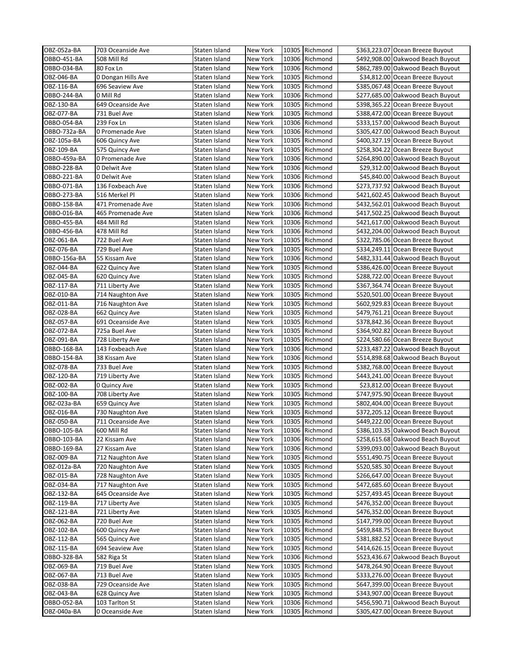| OBZ-052a-BA       | 703 Oceanside Ave  | Staten Island | New York        |       | 10305 Richmond | \$363,223.07 Ocean Breeze Buyout  |
|-------------------|--------------------|---------------|-----------------|-------|----------------|-----------------------------------|
| OBBO-451-BA       | 508 Mill Rd        | Staten Island | New York        |       | 10306 Richmond | \$492,908.00 Oakwood Beach Buyout |
| OBBO-034-BA       | 80 Fox Ln          | Staten Island | New York        |       | 10306 Richmond | \$862,789.00 Oakwood Beach Buyout |
| OBZ-046-BA        | 0 Dongan Hills Ave | Staten Island | New York        | 10305 | Richmond       | \$34,812.00 Ocean Breeze Buyout   |
| OBZ-116-BA        | 696 Seaview Ave    | Staten Island | New York        |       | 10305 Richmond | \$385,067.48 Ocean Breeze Buyout  |
| OBBO-244-BA       | 0 Mill Rd          | Staten Island | New York        | 10306 | Richmond       | \$277,685.00 Oakwood Beach Buyout |
| OBZ-130-BA        | 649 Oceanside Ave  | Staten Island | New York        | 10305 | Richmond       | \$398,365.22 Ocean Breeze Buyout  |
| OBZ-077-BA        | 731 Buel Ave       | Staten Island | New York        | 10305 | Richmond       | \$388,472.00 Ocean Breeze Buyout  |
| OBBO-054-BA       | 239 Fox Ln         | Staten Island | New York        | 10306 | Richmond       | \$333,157.00 Oakwood Beach Buyout |
| OBBO-732a-BA      | 0 Promenade Ave    | Staten Island | New York        |       | 10306 Richmond | \$305,427.00 Oakwood Beach Buyout |
| OBZ-105a-BA       | 606 Quincy Ave     | Staten Island | New York        | 10305 | Richmond       | \$400,327.19 Ocean Breeze Buyout  |
| OBZ-109-BA        | 575 Quincy Ave     | Staten Island | New York        | 10305 | Richmond       | \$258,304.22 Ocean Breeze Buyout  |
| OBBO-459a-BA      | 0 Promenade Ave    | Staten Island | New York        | 10306 | Richmond       | \$264,890.00 Oakwood Beach Buyout |
| OBBO-228-BA       | 0 Delwit Ave       | Staten Island | New York        | 10306 | Richmond       | \$29,312.00 Oakwood Beach Buyout  |
| OBBO-221-BA       | 0 Delwit Ave       | Staten Island | New York        |       | 10306 Richmond | \$45,840.00 Oakwood Beach Buyout  |
| OBBO-071-BA       | 136 Foxbeach Ave   | Staten Island | New York        |       | 10306 Richmond | \$273,737.92 Oakwood Beach Buyout |
| OBBO-273-BA       | 516 Merkel Pl      | Staten Island | New York        |       | 10306 Richmond | \$421,602.45 Oakwood Beach Buyout |
| OBBO-158-BA       | 471 Promenade Ave  | Staten Island | New York        |       | 10306 Richmond | \$432,562.01 Oakwood Beach Buyout |
| OBBO-016-BA       | 465 Promenade Ave  | Staten Island | New York        | 10306 | Richmond       | \$417,502.25 Oakwood Beach Buyout |
| OBBO-455-BA       | 484 Mill Rd        | Staten Island | New York        |       | 10306 Richmond | \$421,617.00 Oakwood Beach Buyout |
| OBBO-456-BA       | 478 Mill Rd        | Staten Island | New York        |       | 10306 Richmond | \$432,204.00 Oakwood Beach Buyout |
| OBZ-061-BA        | 722 Buel Ave       | Staten Island | New York        | 10305 | Richmond       | \$322,785.06 Ocean Breeze Buyout  |
| OBZ-076-BA        | 729 Buel Ave       | Staten Island | New York        | 10305 | Richmond       | \$334,249.11 Ocean Breeze Buyout  |
| OBBO-156a-BA      | 55 Kissam Ave      | Staten Island | New York        | 10306 | Richmond       | \$482,331.44 Oakwood Beach Buyout |
| OBZ-044-BA        | 622 Quincy Ave     | Staten Island | New York        | 10305 | Richmond       | \$386,426.00 Ocean Breeze Buyout  |
| OBZ-045-BA        | 620 Quincy Ave     | Staten Island | New York        | 10305 | Richmond       | \$288,722.00 Ocean Breeze Buyout  |
| OBZ-117-BA        | 711 Liberty Ave    | Staten Island | <b>New York</b> | 10305 | Richmond       | \$367,364.74 Ocean Breeze Buyout  |
| OBZ-010-BA        | 714 Naughton Ave   | Staten Island | New York        | 10305 | Richmond       | \$520,501.00 Ocean Breeze Buyout  |
| OBZ-011-BA        | 716 Naughton Ave   | Staten Island | New York        | 10305 | Richmond       | \$602,929.83 Ocean Breeze Buyout  |
| OBZ-028-BA        | 662 Quincy Ave     | Staten Island | New York        | 10305 | Richmond       | \$479,761.21 Ocean Breeze Buyout  |
| OBZ-057-BA        | 691 Oceanside Ave  | Staten Island | New York        | 10305 | Richmond       | \$378,842.36 Ocean Breeze Buyout  |
| OBZ-072-BA        | 725a Buel Ave      | Staten Island | New York        | 10305 | Richmond       | \$364,902.82 Ocean Breeze Buyout  |
| OBZ-091-BA        | 728 Liberty Ave    | Staten Island | New York        | 10305 | Richmond       | \$224,580.66 Ocean Breeze Buyout  |
| OBBO-168-BA       | 143 Foxbeach Ave   | Staten Island | New York        | 10306 | Richmond       | \$233,487.22 Oakwood Beach Buyout |
| OBBO-154-BA       | 38 Kissam Ave      | Staten Island | New York        |       | 10306 Richmond | \$514,898.68 Oakwood Beach Buyout |
| OBZ-078-BA        | 733 Buel Ave       | Staten Island | New York        | 10305 | Richmond       | \$382,768.00 Ocean Breeze Buyout  |
| OBZ-120-BA        | 719 Liberty Ave    | Staten Island | New York        | 10305 | Richmond       | \$443,241.00 Ocean Breeze Buyout  |
| OBZ-002-BA        | 0 Quincy Ave       | Staten Island | New York        | 10305 | Richmond       | \$23,812.00 Ocean Breeze Buyout   |
| OBZ-100-BA        | 708 Liberty Ave    | Staten Island | <b>New York</b> | 10305 | Richmond       | \$747,975.90 Ocean Breeze Buyout  |
| OBZ-023a-BA       | 659 Quincy Ave     | Staten Island | New York        | 10305 | Richmond       | \$802,404.00 Ocean Breeze Buyout  |
| OBZ-016-BA        | 730 Naughton Ave   | Staten Island | New York        |       | 10305 Richmond | \$372,205.12 Ocean Breeze Buyout  |
| <b>OBZ-050-BA</b> | 711 Oceanside Ave  | Staten Island | New York        |       | 10305 Richmond | \$449,222.00 Ocean Breeze Buyout  |
| OBBO-105-BA       | 600 Mill Rd        | Staten Island | New York        |       | 10306 Richmond | \$386,103.35 Oakwood Beach Buyout |
| OBBO-103-BA       | 22 Kissam Ave      | Staten Island | New York        |       | 10306 Richmond | \$258,615.68 Oakwood Beach Buyout |
| OBBO-169-BA       | 27 Kissam Ave      | Staten Island | New York        |       | 10306 Richmond | \$399,093.00 Oakwood Beach Buyout |
| OBZ-009-BA        | 712 Naughton Ave   | Staten Island | New York        |       | 10305 Richmond | \$551,490.75 Ocean Breeze Buyout  |
| OBZ-012a-BA       | 720 Naughton Ave   | Staten Island | New York        |       | 10305 Richmond | \$520,585.30 Ocean Breeze Buyout  |
| OBZ-015-BA        | 728 Naughton Ave   | Staten Island | New York        |       | 10305 Richmond | \$266,647.00 Ocean Breeze Buyout  |
| OBZ-034-BA        | 717 Naughton Ave   | Staten Island | New York        | 10305 | Richmond       | \$472,685.60 Ocean Breeze Buyout  |
| OBZ-132-BA        | 645 Oceanside Ave  | Staten Island | New York        |       | 10305 Richmond | \$257,493.45 Ocean Breeze Buyout  |
| OBZ-119-BA        | 717 Liberty Ave    | Staten Island | New York        |       | 10305 Richmond | \$476,352.00 Ocean Breeze Buyout  |
| OBZ-121-BA        | 721 Liberty Ave    | Staten Island | New York        | 10305 | Richmond       | \$476,352.00 Ocean Breeze Buyout  |
| OBZ-062-BA        | 720 Buel Ave       | Staten Island | New York        |       | 10305 Richmond | \$147,799.00 Ocean Breeze Buyout  |
| OBZ-102-BA        | 600 Quincy Ave     | Staten Island | New York        | 10305 | Richmond       | \$459,848.75 Ocean Breeze Buyout  |
| OBZ-112-BA        | 565 Quincy Ave     | Staten Island | New York        |       | 10305 Richmond | \$381,882.52 Ocean Breeze Buyout  |
| OBZ-115-BA        | 694 Seaview Ave    | Staten Island | New York        |       | 10305 Richmond | \$414,626.15 Ocean Breeze Buyout  |
| OBBO-328-BA       | 582 Riga St        | Staten Island | New York        |       | 10306 Richmond | \$523,436.67 Oakwood Beach Buyout |
| OBZ-069-BA        | 719 Buel Ave       | Staten Island | New York        |       | 10305 Richmond | \$478,264.90 Ocean Breeze Buyout  |
| OBZ-067-BA        | 713 Buel Ave       | Staten Island | New York        | 10305 | Richmond       | \$333,276.00 Ocean Breeze Buyout  |
| OBZ-038-BA        | 729 Oceanside Ave  | Staten Island | New York        |       | 10305 Richmond | \$647,399.00 Ocean Breeze Buyout  |
| OBZ-043-BA        | 628 Quincy Ave     | Staten Island | New York        |       | 10305 Richmond | \$343,907.00 Ocean Breeze Buyout  |
| OBBO-052-BA       | 103 Tarlton St     | Staten Island | New York        |       | 10306 Richmond | \$456,590.71 Oakwood Beach Buyout |
| OBZ-040a-BA       | 0 Oceanside Ave    | Staten Island | New York        |       | 10305 Richmond | \$305,427.00 Ocean Breeze Buyout  |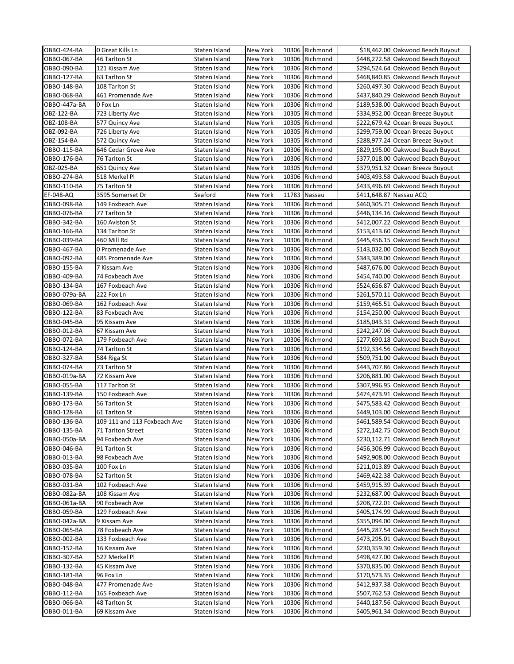| OBBO-424-BA                | 0 Great Kills Ln               | Staten Island                  | New York             |       | 10306 Richmond                   | \$18,462.00 Oakwood Beach Buyout                                       |
|----------------------------|--------------------------------|--------------------------------|----------------------|-------|----------------------------------|------------------------------------------------------------------------|
| OBBO-067-BA                | 46 Tarlton St                  | Staten Island                  | New York             | 10306 | Richmond                         | \$448,272.58 Oakwood Beach Buyout                                      |
| OBBO-090-BA                | 121 Kissam Ave                 | Staten Island                  | New York             | 10306 | Richmond                         | \$294,524.64 Oakwood Beach Buyout                                      |
| OBBO-127-BA                | 63 Tarlton St                  | Staten Island                  | New York             | 10306 | Richmond                         | \$468,840.85 Oakwood Beach Buyout                                      |
| OBBO-148-BA                | 108 Tarlton St                 | Staten Island                  | New York             |       | 10306 Richmond                   | \$260,497.30 Oakwood Beach Buyout                                      |
| OBBO-068-BA                | 461 Promenade Ave              | Staten Island                  | New York             |       | 10306 Richmond                   | \$437,840.29 Oakwood Beach Buyout                                      |
| OBBO-447a-BA               | 0 Fox Ln                       | Staten Island                  | New York             | 10306 | Richmond                         | \$189,538.00 Oakwood Beach Buyout                                      |
| OBZ-122-BA                 | 723 Liberty Ave                | Staten Island                  | New York             | 10305 | Richmond                         | \$334,952.00 Ocean Breeze Buyout                                       |
| OBZ-108-BA                 | 577 Quincy Ave                 | Staten Island                  | New York             | 10305 | Richmond                         | \$222,679.42 Ocean Breeze Buyout                                       |
| OBZ-092-BA                 | 726 Liberty Ave                | Staten Island                  | New York             |       | 10305 Richmond                   | \$299,759.00 Ocean Breeze Buyout                                       |
| OBZ-154-BA                 | 572 Quincy Ave                 | Staten Island                  | New York             | 10305 | Richmond                         | \$288,977.24 Ocean Breeze Buyout                                       |
| OBBO-115-BA                | 646 Cedar Grove Ave            | Staten Island                  | New York             | 10306 | Richmond                         | \$829,195.00 Oakwood Beach Buyout                                      |
| OBBO-176-BA                | 76 Tarlton St                  | Staten Island                  | New York             | 10306 | Richmond                         | \$377,018.00 Oakwood Beach Buyout                                      |
| OBZ-025-BA                 | 651 Quincy Ave                 | Staten Island                  | New York             | 10305 | Richmond                         | \$379,951.32 Ocean Breeze Buyout                                       |
| OBBO-274-BA                | 518 Merkel Pl                  | Staten Island                  | New York             | 10306 | Richmond                         | \$403,493.58 Oakwood Beach Buyout                                      |
| OBBO-110-BA                | 75 Tarlton St                  | Staten Island                  | New York             |       | 10306 Richmond                   | \$433,496.69 Oakwood Beach Buyout                                      |
| EF-048-AQ                  | 3595 Somerset Dr               | Seaford                        | New York             | 11783 | Nassau                           | \$411,648.87 Nassau ACQ                                                |
| OBBO-098-BA                | 149 Foxbeach Ave               | Staten Island                  | New York             |       | 10306 Richmond                   | \$460,305.71 Oakwood Beach Buyout                                      |
| OBBO-076-BA                | 77 Tarlton St                  | Staten Island                  | New York             | 10306 | Richmond                         | \$446,134.16 Oakwood Beach Buyout                                      |
| OBBO-342-BA                | 160 Aviston St                 | Staten Island                  | New York             |       | 10306 Richmond                   | \$412,007.22 Oakwood Beach Buyout                                      |
| OBBO-166-BA                | 134 Tarlton St                 | Staten Island                  | New York             |       | 10306 Richmond                   | \$153,413.60 Oakwood Beach Buyout                                      |
| OBBO-039-BA                | 460 Mill Rd                    | Staten Island                  | New York             | 10306 | Richmond                         | \$445,456.15 Oakwood Beach Buyout                                      |
| OBBO-467-BA                | 0 Promenade Ave                | Staten Island                  | New York             | 10306 | Richmond                         | \$143,032.00 Oakwood Beach Buyout                                      |
| OBBO-092-BA                | 485 Promenade Ave              | Staten Island                  | New York             | 10306 | Richmond                         | \$343,389.00 Oakwood Beach Buyout                                      |
| OBBO-155-BA                | 7 Kissam Ave                   | Staten Island                  | New York             |       | 10306 Richmond                   | \$487,676.00 Oakwood Beach Buyout                                      |
| OBBO-409-BA                | 74 Foxbeach Ave                | Staten Island                  | New York             | 10306 | Richmond                         | \$454,740.00 Oakwood Beach Buyout                                      |
| OBBO-134-BA                | 167 Foxbeach Ave               | Staten Island                  | New York             | 10306 | Richmond                         | \$524,656.87 Oakwood Beach Buyout                                      |
| OBBO-079a-BA               | 222 Fox Ln                     | Staten Island                  | New York             | 10306 | Richmond                         | \$261,570.11 Oakwood Beach Buyout                                      |
| OBBO-069-BA                | 162 Foxbeach Ave               | Staten Island                  | New York             | 10306 | Richmond                         | \$159,465.51 Oakwood Beach Buyout                                      |
| OBBO-122-BA                | 83 Foxbeach Ave                | Staten Island                  | New York             |       | 10306 Richmond                   | \$154,250.00 Oakwood Beach Buyout                                      |
| OBBO-045-BA                | 95 Kissam Ave                  | Staten Island                  | New York             |       | 10306 Richmond                   | \$185,043.31 Oakwood Beach Buyout                                      |
| OBBO-012-BA                | 67 Kissam Ave                  | Staten Island                  | New York             | 10306 | Richmond                         | \$242,247.06 Oakwood Beach Buyout                                      |
| OBBO-072-BA                | 179 Foxbeach Ave               | Staten Island                  | New York             | 10306 | Richmond                         | \$277,690.18 Oakwood Beach Buyout                                      |
| OBBO-124-BA                | 74 Tarlton St                  | Staten Island                  | New York             | 10306 | Richmond                         | \$192,334.56 Oakwood Beach Buyout                                      |
| OBBO-327-BA                | 584 Riga St                    | Staten Island                  | New York             |       | 10306 Richmond                   | \$509,751.00 Oakwood Beach Buyout                                      |
| OBBO-074-BA                | 73 Tarlton St                  | Staten Island                  | New York             |       | 10306 Richmond                   | \$443,707.86 Oakwood Beach Buyout                                      |
| OBBO-019a-BA               | 72 Kissam Ave                  | Staten Island                  | New York             | 10306 | Richmond                         | \$206,881.00 Oakwood Beach Buyout                                      |
| OBBO-055-BA                | 117 Tarlton St                 | Staten Island                  | New York             |       | 10306 Richmond                   | \$307,996.95 Oakwood Beach Buyout                                      |
| OBBO-139-BA                | 150 Foxbeach Ave               | Staten Island                  | New York             | 10306 | Richmond                         | \$474,473.91 Oakwood Beach Buyout                                      |
| OBBO-173-BA                | 56 Tarlton St                  | Staten Island                  | New York             |       | 10306 Richmond                   | \$475,583.42 Oakwood Beach Buyout                                      |
| OBBO-128-BA                | 61 Tarlton St                  | Staten Island                  | New York             |       | 10306 Richmond                   | \$449,103.00 Oakwood Beach Buyout                                      |
| OBBO-136-BA                | 109 111 and 113 Foxbeach Ave   | Staten Island                  | New York             |       | 10306 Richmond                   | \$461,589.54 Oakwood Beach Buyout                                      |
| OBBO-135-BA                | 71 Tarlton Street              | Staten Island                  | New York             |       | 10306 Richmond                   | \$272,142.75 Oakwood Beach Buyout                                      |
| OBBO-050a-BA               | 94 Foxbeach Ave                | Staten Island                  | New York             |       | 10306 Richmond                   | \$230,112.71 Oakwood Beach Buyout                                      |
| OBBO-046-BA                | 91 Tarlton St                  | Staten Island                  | New York             |       | 10306 Richmond                   | \$456,306.99 Oakwood Beach Buyout                                      |
| OBBO-013-BA                | 98 Foxbeach Ave                | Staten Island                  | New York             |       | 10306 Richmond                   | \$492,908.00 Oakwood Beach Buyout                                      |
| OBBO-035-BA                | 100 Fox Ln                     | Staten Island                  | New York             |       | 10306 Richmond                   | \$211,013.89 Oakwood Beach Buyout                                      |
| OBBO-078-BA                | 52 Tarlton St                  | Staten Island                  | New York             |       | 10306 Richmond                   | \$469,422.38 Oakwood Beach Buyout                                      |
| OBBO-031-BA                | 102 Foxbeach Ave               | Staten Island                  | New York             |       | 10306 Richmond                   | \$459,915.39 Oakwood Beach Buyout                                      |
| OBBO-082a-BA               | 108 Kissam Ave                 | Staten Island                  | New York             |       | 10306 Richmond                   | \$232,687.00 Oakwood Beach Buyout                                      |
| OBBO-061a-BA               | 90 Foxbeach Ave                | Staten Island                  | New York             |       | 10306 Richmond                   | \$208,722.01 Oakwood Beach Buyout                                      |
| OBBO-059-BA                | 129 Foxbeach Ave               | Staten Island                  | New York             |       | 10306 Richmond                   | \$405,174.99 Oakwood Beach Buyout                                      |
| OBBO-042a-BA               | 9 Kissam Ave                   | Staten Island                  | New York             |       | 10306 Richmond                   | \$355,094.00 Oakwood Beach Buyout                                      |
| OBBO-065-BA                | 78 Foxbeach Ave                | Staten Island                  | New York             |       | 10306 Richmond                   | \$445,287.54 Oakwood Beach Buyout                                      |
| OBBO-002-BA                | 133 Foxbeach Ave               | Staten Island                  | New York             |       | 10306 Richmond                   | \$473,295.01 Oakwood Beach Buyout                                      |
| OBBO-152-BA                | 16 Kissam Ave                  | Staten Island                  | New York             |       | 10306 Richmond                   | \$230,359.30 Oakwood Beach Buyout                                      |
| OBBO-307-BA                | 527 Merkel Pl                  | Staten Island                  | New York             |       | 10306 Richmond                   | \$498,427.00 Oakwood Beach Buyout                                      |
| OBBO-132-BA                | 45 Kissam Ave                  | Staten Island                  | New York             |       | 10306 Richmond                   | \$370,835.00 Oakwood Beach Buyout                                      |
| OBBO-181-BA                | 96 Fox Ln                      | Staten Island                  | New York             |       | 10306 Richmond                   | \$170,573.35 Oakwood Beach Buyout                                      |
| OBBO-048-BA                | 477 Promenade Ave              | Staten Island                  | New York             |       | 10306 Richmond                   | \$412,937.38 Oakwood Beach Buyout                                      |
| OBBO-112-BA                | 165 Foxbeach Ave               | Staten Island                  | New York             |       | 10306 Richmond                   | \$507,762.53 Oakwood Beach Buyout<br>\$440,187.56 Oakwood Beach Buyout |
| OBBO-066-BA<br>OBBO-011-BA | 48 Tarlton St<br>69 Kissam Ave | Staten Island<br>Staten Island | New York<br>New York |       | 10306 Richmond<br>10306 Richmond | \$405,961.34 Oakwood Beach Buyout                                      |
|                            |                                |                                |                      |       |                                  |                                                                        |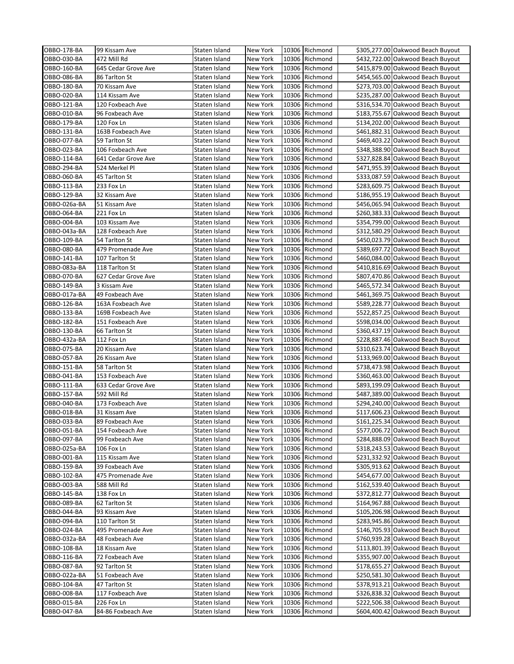| OBBO-178-BA                | 99 Kissam Ave                      | Staten Island                  | New York             |       | 10306 Richmond                   | \$305,277.00 Oakwood Beach Buyout                                      |
|----------------------------|------------------------------------|--------------------------------|----------------------|-------|----------------------------------|------------------------------------------------------------------------|
| OBBO-030-BA                | 472 Mill Rd                        | Staten Island                  | <b>New York</b>      | 10306 | Richmond                         | \$432,722.00 Oakwood Beach Buyout                                      |
| OBBO-160-BA                | 645 Cedar Grove Ave                | Staten Island                  | New York             | 10306 | Richmond                         | \$415,879.00 Oakwood Beach Buyout                                      |
| OBBO-086-BA                | 86 Tarlton St                      | Staten Island                  | New York             |       | 10306 Richmond                   | \$454,565.00 Oakwood Beach Buyout                                      |
| OBBO-180-BA                | 70 Kissam Ave                      | Staten Island                  | New York             |       | 10306 Richmond                   | \$273,703.00 Oakwood Beach Buyout                                      |
| OBBO-020-BA                | 114 Kissam Ave                     | Staten Island                  | New York             |       | 10306 Richmond                   | \$235,287.00 Oakwood Beach Buyout                                      |
| OBBO-121-BA                | 120 Foxbeach Ave                   | Staten Island                  | New York             | 10306 | Richmond                         | \$316,534.70 Oakwood Beach Buyout                                      |
| OBBO-010-BA                | 96 Foxbeach Ave                    | Staten Island                  | New York             | 10306 | Richmond                         | \$183,755.67 Oakwood Beach Buyout                                      |
| OBBO-179-BA                | 120 Fox Ln                         | Staten Island                  | New York             |       | 10306 Richmond                   | \$134,202.00 Oakwood Beach Buyout                                      |
| OBBO-131-BA                | 163B Foxbeach Ave                  | Staten Island                  | New York             |       | 10306 Richmond                   | \$461,882.31 Oakwood Beach Buyout                                      |
| OBBO-077-BA                | 59 Tarlton St                      | Staten Island                  | New York             |       | 10306 Richmond                   | \$469,403.22 Oakwood Beach Buyout                                      |
| OBBO-023-BA                | 106 Foxbeach Ave                   | Staten Island                  | New York             | 10306 | Richmond                         | \$348,388.90 Oakwood Beach Buyout                                      |
| OBBO-114-BA                | 641 Cedar Grove Ave                | Staten Island                  | New York             | 10306 | Richmond                         | \$327,828.84 Oakwood Beach Buyout                                      |
| OBBO-294-BA                | 524 Merkel Pl                      | Staten Island                  | New York             |       | 10306 Richmond                   | \$471,955.39 Oakwood Beach Buyout                                      |
| OBBO-060-BA                | 45 Tarlton St                      | Staten Island                  | New York             |       | 10306 Richmond                   | \$333,087.59 Oakwood Beach Buyout                                      |
| OBBO-113-BA                | 233 Fox Ln                         | Staten Island                  | New York             |       | 10306 Richmond                   | \$283,609.75 Oakwood Beach Buyout                                      |
| OBBO-129-BA                | 32 Kissam Ave                      | Staten Island                  | New York             | 10306 | Richmond                         | \$186,955.19 Oakwood Beach Buyout                                      |
| OBBO-026a-BA               | 51 Kissam Ave                      | Staten Island                  | New York             |       | 10306 Richmond                   | \$456,065.94 Oakwood Beach Buyout                                      |
| OBBO-064-BA                | 221 Fox Ln                         | Staten Island                  | New York             |       | 10306 Richmond                   | \$260,383.33 Oakwood Beach Buyout                                      |
| OBBO-004-BA                | 103 Kissam Ave                     | Staten Island                  | New York             |       | 10306 Richmond                   | \$354,799.00 Oakwood Beach Buyout                                      |
| OBBO-043a-BA               | 128 Foxbeach Ave                   | Staten Island                  | New York             |       | 10306 Richmond                   | \$312,580.29 Oakwood Beach Buyout                                      |
| OBBO-109-BA                | 54 Tarlton St                      | Staten Island                  | New York             | 10306 | Richmond                         | \$450,023.79 Oakwood Beach Buyout                                      |
| OBBO-080-BA                | 479 Promenade Ave                  | Staten Island                  | New York             | 10306 | Richmond                         | \$389,697.72 Oakwood Beach Buyout                                      |
| OBBO-141-BA                | 107 Tarlton St                     | Staten Island                  | New York             |       | 10306 Richmond                   | \$460,084.00 Oakwood Beach Buyout                                      |
| OBBO-083a-BA               | 118 Tarlton St                     | Staten Island                  | New York             |       | 10306 Richmond                   | \$410,816.69 Oakwood Beach Buyout                                      |
| OBBO-070-BA                | 627 Cedar Grove Ave                | Staten Island                  | New York             |       | 10306 Richmond                   | \$807,470.86 Oakwood Beach Buyout                                      |
| OBBO-149-BA                | 3 Kissam Ave                       | Staten Island                  | New York             | 10306 | Richmond                         | \$465,572.34 Oakwood Beach Buyout                                      |
| OBBO-017a-BA               | 49 Foxbeach Ave                    | Staten Island                  | New York             |       | 10306 Richmond                   | \$461,369.75 Oakwood Beach Buyout                                      |
| OBBO-126-BA                | 163A Foxbeach Ave                  | Staten Island                  | New York             |       | 10306 Richmond                   | \$589,228.77 Oakwood Beach Buyout                                      |
| OBBO-133-BA                | 169B Foxbeach Ave                  | Staten Island                  | New York             |       | 10306 Richmond                   | \$522,857.25 Oakwood Beach Buyout                                      |
|                            | 151 Foxbeach Ave                   |                                | New York             |       | 10306 Richmond                   | \$598,034.00 Oakwood Beach Buyout                                      |
| OBBO-182-BA<br>OBBO-130-BA |                                    | Staten Island                  |                      | 10306 | Richmond                         | \$360,437.19 Oakwood Beach Buyout                                      |
| OBBO-432a-BA               | 66 Tarlton St<br>112 Fox Ln        | Staten Island                  | New York             | 10306 | Richmond                         | \$228,887.46 Oakwood Beach Buyout                                      |
| OBBO-075-BA                |                                    | Staten Island                  | New York<br>New York |       | 10306 Richmond                   | \$310,623.74 Oakwood Beach Buyout                                      |
|                            | 20 Kissam Ave                      | Staten Island                  |                      |       |                                  |                                                                        |
| OBBO-057-BA                | 26 Kissam Ave                      | Staten Island                  | New York             |       | 10306 Richmond<br>10306 Richmond | \$133,969.00 Oakwood Beach Buyout                                      |
| OBBO-151-BA                | 58 Tarlton St                      | Staten Island                  | New York             | 10306 | Richmond                         | \$738,473.98 Oakwood Beach Buyout<br>\$360,463.00 Oakwood Beach Buyout |
| OBBO-041-BA<br>OBBO-111-BA | 153 Foxbeach Ave                   | Staten Island<br>Staten Island | New York<br>New York |       | 10306 Richmond                   |                                                                        |
|                            | 633 Cedar Grove Ave<br>592 Mill Rd |                                |                      | 10306 | Richmond                         | \$893,199.09 Oakwood Beach Buyout<br>\$487,389.00 Oakwood Beach Buyout |
| OBBO-157-BA<br>OBBO-040-BA | 173 Foxbeach Ave                   | Staten Island                  | New York             |       |                                  |                                                                        |
|                            |                                    | Staten Island                  | New York             |       | 10306 Richmond                   | \$294,240.00 Oakwood Beach Buyout                                      |
| OBBO-018-BA<br>OBBO-033-BA | 31 Kissam Ave                      | Staten Island                  | New York             |       | 10306 Richmond                   | \$117,606.23 Oakwood Beach Buyout                                      |
|                            | 89 Foxbeach Ave                    | Staten Island                  | New York             |       | 10306 Richmond                   | \$161,225.34 Oakwood Beach Buyout                                      |
| OBBO-051-BA                | 154 Foxbeach Ave                   | Staten Island                  | New York             |       | 10306 Richmond                   | \$577,006.72 Oakwood Beach Buyout                                      |
| OBBO-097-BA                | 99 Foxbeach Ave                    | Staten Island                  | New York             |       | 10306 Richmond                   | \$284,888.09 Oakwood Beach Buyout                                      |
| OBBO-025a-BA               | 106 Fox Ln                         | Staten Island                  | New York             |       | 10306 Richmond                   | \$318,243.53 Oakwood Beach Buyout                                      |
| OBBO-001-BA                | 115 Kissam Ave                     | Staten Island                  | New York             |       | 10306 Richmond                   | \$231,332.92 Oakwood Beach Buyout                                      |
| OBBO-159-BA                | 39 Foxbeach Ave                    | Staten Island                  | New York             |       | 10306 Richmond                   | \$305,913.62 Oakwood Beach Buyout                                      |
| OBBO-102-BA                | 475 Promenade Ave                  | Staten Island                  | New York             |       | 10306 Richmond                   | \$454,677.00 Oakwood Beach Buyout                                      |
| OBBO-003-BA                | 588 Mill Rd                        | Staten Island                  | New York             |       | 10306 Richmond                   | \$162,539.40 Oakwood Beach Buyout                                      |
| OBBO-145-BA                | 138 Fox Ln                         | Staten Island                  | New York             |       | 10306 Richmond                   | \$372,812.77 Oakwood Beach Buyout                                      |
| OBBO-089-BA                | 62 Tarlton St                      | Staten Island                  | New York             |       | 10306 Richmond                   | \$164,967.88 Oakwood Beach Buyout                                      |
| OBBO-044-BA                | 93 Kissam Ave                      | Staten Island                  | New York             | 10306 | Richmond                         | \$105,206.98 Oakwood Beach Buyout                                      |
| OBBO-094-BA                | 110 Tarlton St                     | Staten Island                  | New York             |       | 10306 Richmond                   | \$283,945.86 Oakwood Beach Buyout                                      |
| OBBO-024-BA                | 495 Promenade Ave                  | Staten Island                  | New York             |       | 10306 Richmond                   | \$146,705.93 Oakwood Beach Buyout                                      |
| OBBO-032a-BA               | 48 Foxbeach Ave                    | Staten Island                  | New York             |       | 10306 Richmond                   | \$760,939.28 Oakwood Beach Buyout                                      |
| OBBO-108-BA                | 18 Kissam Ave                      | Staten Island                  | New York             |       | 10306 Richmond                   | \$113,801.39 Oakwood Beach Buyout                                      |
| OBBO-116-BA                | 72 Foxbeach Ave                    | Staten Island                  | New York             |       | 10306 Richmond                   | \$355,907.00 Oakwood Beach Buyout                                      |
| OBBO-087-BA                | 92 Tarlton St                      | Staten Island                  | New York             | 10306 | Richmond                         | \$178,655.27 Oakwood Beach Buyout                                      |
| OBBO-022a-BA               | 51 Foxbeach Ave                    | Staten Island                  | New York             |       | 10306 Richmond                   | \$250,581.30 Oakwood Beach Buyout                                      |
| OBBO-104-BA                | 47 Tarlton St                      | Staten Island                  | New York             |       | 10306 Richmond                   | \$378,913.21 Oakwood Beach Buyout                                      |
| OBBO-008-BA                | 117 Foxbeach Ave                   | Staten Island                  | New York             |       | 10306 Richmond                   | \$326,838.32 Oakwood Beach Buyout                                      |
| OBBO-015-BA                | 226 Fox Ln                         | Staten Island                  | New York             | 10306 | Richmond                         | \$222,506.38 Oakwood Beach Buyout                                      |
| OBBO-047-BA                | 84-86 Foxbeach Ave                 | Staten Island                  | New York             |       | 10306 Richmond                   | \$604,400.42 Oakwood Beach Buyout                                      |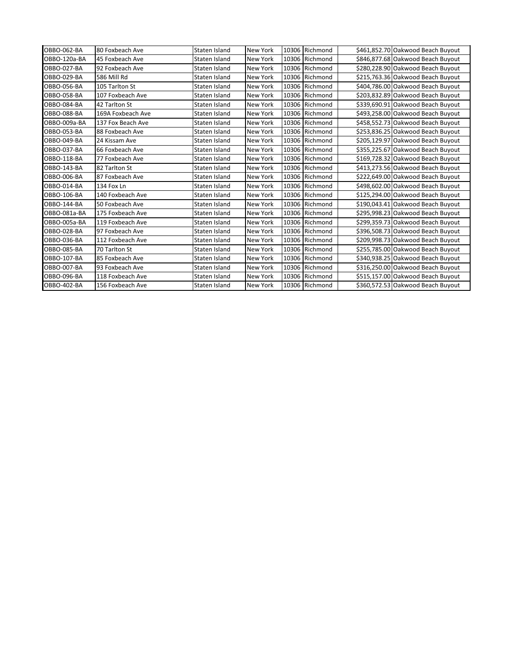| OBBO-062-BA  | 80 Foxbeach Ave   | Staten Island | New York        |       | 10306 Richmond | \$461,852.70 Oakwood Beach Buyout |
|--------------|-------------------|---------------|-----------------|-------|----------------|-----------------------------------|
| OBBO-120a-BA | 45 Foxbeach Ave   | Staten Island | <b>New York</b> | 10306 | Richmond       | \$846,877.68 Oakwood Beach Buyout |
| OBBO-027-BA  | 92 Foxbeach Ave   | Staten Island | <b>New York</b> |       | 10306 Richmond | \$280,228.90 Oakwood Beach Buyout |
| OBBO-029-BA  | 586 Mill Rd       | Staten Island | <b>New York</b> |       | 10306 Richmond | \$215,763.36 Oakwood Beach Buyout |
| OBBO-056-BA  | 105 Tarlton St    | Staten Island | <b>New York</b> |       | 10306 Richmond | \$404,786.00 Oakwood Beach Buyout |
| OBBO-058-BA  | 107 Foxbeach Ave  | Staten Island | <b>New York</b> |       | 10306 Richmond | \$203,832.89 Oakwood Beach Buyout |
| OBBO-084-BA  | 42 Tarlton St     | Staten Island | <b>New York</b> |       | 10306 Richmond | \$339,690.91 Oakwood Beach Buyout |
| OBBO-088-BA  | 169A Foxbeach Ave | Staten Island | <b>New York</b> |       | 10306 Richmond | \$493,258.00 Oakwood Beach Buyout |
| OBBO-009a-BA | 137 Fox Beach Ave | Staten Island | New York        |       | 10306 Richmond | \$458,552.73 Oakwood Beach Buyout |
| OBBO-053-BA  | 88 Foxbeach Ave   | Staten Island | <b>New York</b> |       | 10306 Richmond | \$253,836.25 Oakwood Beach Buyout |
| OBBO-049-BA  | 24 Kissam Ave     | Staten Island | <b>New York</b> | 10306 | Richmond       | \$205,129.97 Oakwood Beach Buyout |
| OBBO-037-BA  | 66 Foxbeach Ave   | Staten Island | <b>New York</b> |       | 10306 Richmond | \$355,225.67 Oakwood Beach Buyout |
| OBBO-118-BA  | 77 Foxbeach Ave   | Staten Island | <b>New York</b> | 10306 | Richmond       | \$169,728.32 Oakwood Beach Buyout |
| OBBO-143-BA  | 82 Tarlton St     | Staten Island | <b>New York</b> |       | 10306 Richmond | \$413,273.56 Oakwood Beach Buyout |
| OBBO-006-BA  | 87 Foxbeach Ave   | Staten Island | <b>New York</b> | 10306 | Richmond       | \$222,649.00 Oakwood Beach Buyout |
| OBBO-014-BA  | 134 Fox Ln        | Staten Island | <b>New York</b> |       | 10306 Richmond | \$498,602.00 Oakwood Beach Buyout |
| OBBO-106-BA  | 140 Foxbeach Ave  | Staten Island | <b>New York</b> | 10306 | Richmond       | \$125,294.00 Oakwood Beach Buyout |
| OBBO-144-BA  | 50 Foxbeach Ave   | Staten Island | <b>New York</b> | 10306 | Richmond       | \$190,043.41 Oakwood Beach Buyout |
| OBBO-081a-BA | 175 Foxbeach Ave  | Staten Island | New York        |       | 10306 Richmond | \$295,998.23 Oakwood Beach Buyout |
| OBBO-005a-BA | 119 Foxbeach Ave  | Staten Island | New York        |       | 10306 Richmond | \$299,359.73 Oakwood Beach Buyout |
| OBBO-028-BA  | 97 Foxbeach Ave   | Staten Island | <b>New York</b> |       | 10306 Richmond | \$396,508.73 Oakwood Beach Buyout |
| OBBO-036-BA  | 112 Foxbeach Ave  | Staten Island | <b>New York</b> |       | 10306 Richmond | \$209,998.73 Oakwood Beach Buyout |
| OBBO-085-BA  | 70 Tarlton St     | Staten Island | <b>New York</b> |       | 10306 Richmond | \$255,785.00 Oakwood Beach Buyout |
| OBBO-107-BA  | 85 Foxbeach Ave   | Staten Island | <b>New York</b> | 10306 | Richmond       | \$340,938.25 Oakwood Beach Buyout |
| OBBO-007-BA  | 93 Foxbeach Ave   | Staten Island | <b>New York</b> |       | 10306 Richmond | \$316,250.00 Oakwood Beach Buyout |
| OBBO-096-BA  | 118 Foxbeach Ave  | Staten Island | <b>New York</b> | 10306 | Richmond       | \$515,157.00 Oakwood Beach Buyout |
| OBBO-402-BA  | 156 Foxbeach Ave  | Staten Island | <b>New York</b> |       | 10306 Richmond | \$360,572.53 Oakwood Beach Buyout |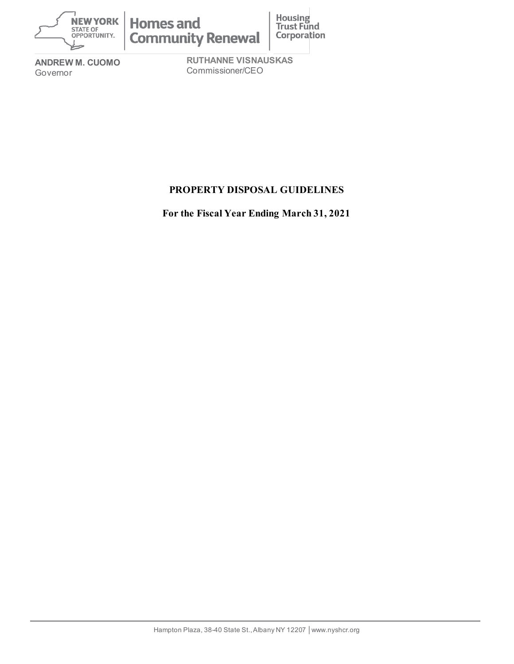

**ANDREW M. CUOMO** Governor

**RUTHANNE VISNAUSKAS** Commissioner/CEO

# **PROPERTY DISPOSAL GUIDELINES**

**For the Fiscal Year Ending March 31, 2021**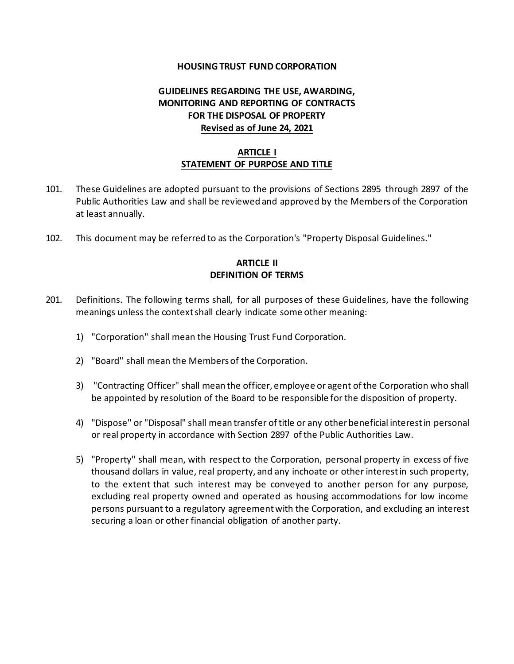#### **HOUSING TRUST FUND CORPORATION**

## **GUIDELINES REGARDING THE USE, AWARDING, MONITORING AND REPORTING OF CONTRACTS FOR THE DISPOSAL OF PROPERTY Revised as of June 24, 2021**

## **ARTICLE I STATEMENT OF PURPOSE AND TITLE**

- 101. These Guidelines are adopted pursuant to the provisions of Sections 2895 through 2897 of the Public Authorities Law and shall be reviewed and approved by the Members of the Corporation at least annually.
- 102. This document may be referred to as the Corporation's "Property Disposal Guidelines."

## **ARTICLE II DEFINITION OF TERMS**

- 201. Definitions. The following terms shall, for all purposes of these Guidelines, have the following meanings unless the context shall clearly indicate some other meaning:
	- 1) "Corporation" shall mean the Housing Trust Fund Corporation.
	- 2) "Board" shall mean the Members of the Corporation.
	- 3) "Contracting Officer" shall mean the officer, employee or agent of the Corporation who shall be appointed by resolution of the Board to be responsible for the disposition of property.
	- 4) "Dispose" or "Disposal" shall mean transfer of title or any other beneficial interest in personal or real property in accordance with Section 2897 of the Public Authorities Law.
	- 5) "Property" shall mean, with respect to the Corporation, personal property in excess of five thousand dollars in value, real property, and any inchoate or other interest in such property, to the extent that such interest may be conveyed to another person for any purpose, excluding real property owned and operated as housing accommodations for low income persons pursuant to a regulatory agreement with the Corporation, and excluding an interest securing a loan or other financial obligation of another party.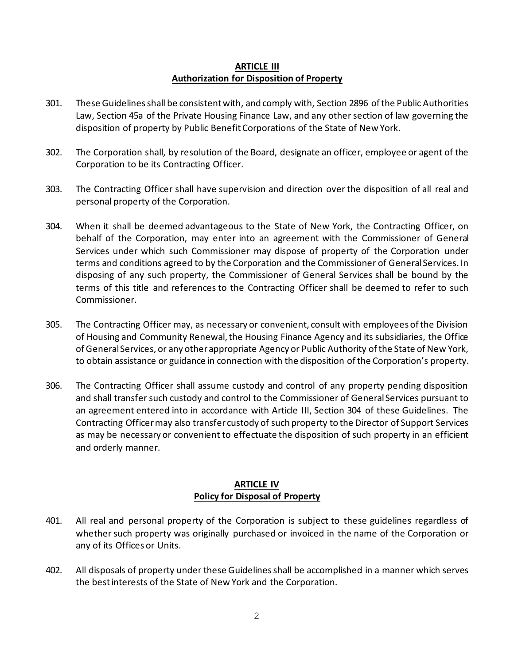#### **ARTICLE III Authorization for Disposition of Property**

- 301. These Guidelines shall be consistent with, and comply with, Section 2896 of the Public Authorities Law, Section 45a of the Private Housing Finance Law, and any other section of law governing the disposition of property by Public Benefit Corporations of the State of New York.
- 302. The Corporation shall, by resolution of the Board, designate an officer, employee or agent of the Corporation to be its Contracting Officer.
- 303. The Contracting Officer shall have supervision and direction over the disposition of all real and personal property of the Corporation.
- 304. When it shall be deemed advantageous to the State of New York, the Contracting Officer, on behalf of the Corporation, may enter into an agreement with the Commissioner of General Services under which such Commissioner may dispose of property of the Corporation under terms and conditions agreed to by the Corporation and the Commissioner of General Services. In disposing of any such property, the Commissioner of General Services shall be bound by the terms of this title and references to the Contracting Officer shall be deemed to refer to such Commissioner.
- 305. The Contracting Officer may, as necessary or convenient, consult with employees of the Division of Housing and Community Renewal, the Housing Finance Agency and its subsidiaries, the Office of General Services, or any other appropriate Agency or Public Authority of the State of New York, to obtain assistance or guidance in connection with the disposition of the Corporation's property.
- 306. The Contracting Officer shall assume custody and control of any property pending disposition and shall transfer such custody and control to the Commissioner of General Services pursuant to an agreement entered into in accordance with Article III, Section 304 of these Guidelines. The Contracting Officer may also transfer custody of such property to the Director of Support Services as may be necessary or convenient to effectuate the disposition of such property in an efficient and orderly manner.

## **ARTICLE IV Policy for Disposal of Property**

- 401. All real and personal property of the Corporation is subject to these guidelines regardless of whether such property was originally purchased or invoiced in the name of the Corporation or any of its Offices or Units.
- 402. All disposals of property under these Guidelines shall be accomplished in a manner which serves the best interests of the State of New York and the Corporation.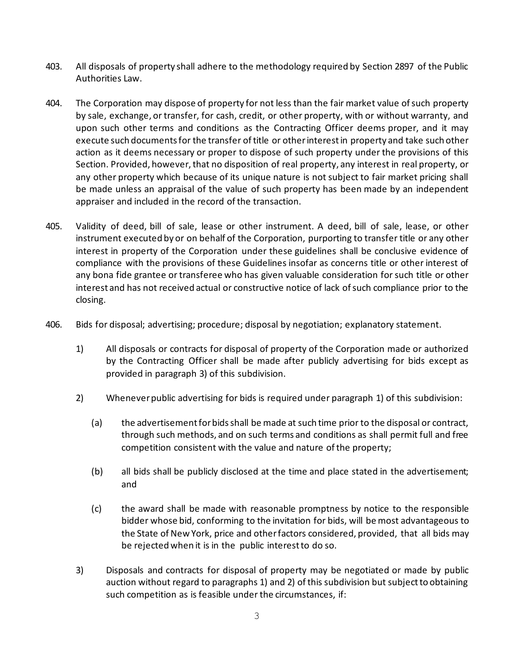- 403. All disposals of property shall adhere to the methodology required by Section 2897 of the Public Authorities Law.
- 404. The Corporation may dispose of property for not less than the fair market value of such property by sale, exchange, or transfer, for cash, credit, or other property, with or without warranty, and upon such other terms and conditions as the Contracting Officer deems proper, and it may execute such documentsfor the transfer of title or other interest in property and take such other action as it deems necessary or proper to dispose of such property under the provisions of this Section. Provided, however, that no disposition of real property, any interest in real property, or any other property which because of its unique nature is not subject to fair market pricing shall be made unless an appraisal of the value of such property has been made by an independent appraiser and included in the record of the transaction.
- 405. Validity of deed, bill of sale, lease or other instrument. A deed, bill of sale, lease, or other instrument executed by or on behalf of the Corporation, purporting to transfer title or any other interest in property of the Corporation under these guidelines shall be conclusive evidence of compliance with the provisions of these Guidelines insofar as concerns title or other interest of any bona fide grantee or transferee who has given valuable consideration for such title or other interest and has not received actual or constructive notice of lack of such compliance prior to the closing.
- 406. Bids for disposal; advertising; procedure; disposal by negotiation; explanatory statement.
	- 1) All disposals or contracts for disposal of property of the Corporation made or authorized by the Contracting Officer shall be made after publicly advertising for bids except as provided in paragraph 3) of this subdivision.
	- 2) Whenever public advertising for bids is required under paragraph 1) of this subdivision:
		- (a) the advertisement for bids shall be made at such time prior to the disposal or contract, through such methods, and on such terms and conditions as shall permit full and free competition consistent with the value and nature of the property;
		- (b) all bids shall be publicly disclosed at the time and place stated in the advertisement; and
		- (c) the award shall be made with reasonable promptness by notice to the responsible bidder whose bid, conforming to the invitation for bids, will be most advantageous to the State of New York, price and other factors considered, provided, that all bids may be rejected when it is in the public interest to do so.
	- 3) Disposals and contracts for disposal of property may be negotiated or made by public auction without regard to paragraphs 1) and 2) of this subdivision but subject to obtaining such competition as is feasible under the circumstances, if: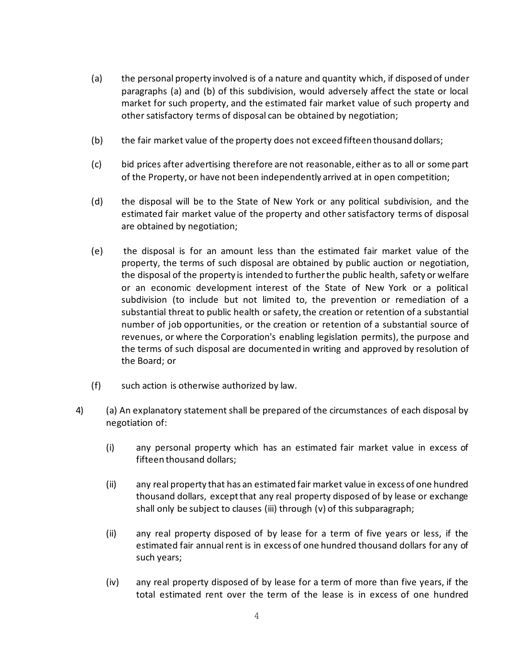- (a) the personal property involved is of a nature and quantity which, if disposed of under paragraphs (a) and (b) of this subdivision, would adversely affect the state or local market for such property, and the estimated fair market value of such property and other satisfactory terms of disposal can be obtained by negotiation;
- (b) the fair market value of the property does not exceed fifteen thousand dollars;
- (c) bid prices after advertising therefore are not reasonable, either as to all or some part of the Property, or have not been independently arrived at in open competition;
- (d) the disposal will be to the State of New York or any political subdivision, and the estimated fair market value of the property and other satisfactory terms of disposal are obtained by negotiation;
- (e) the disposal is for an amount less than the estimated fair market value of the property, the terms of such disposal are obtained by public auction or negotiation, the disposal of the property is intended to further the public health, safety or welfare or an economic development interest of the State of New York or a political subdivision (to include but not limited to, the prevention or remediation of a substantial threat to public health or safety, the creation or retention of a substantial number of job opportunities, or the creation or retention of a substantial source of revenues, or where the Corporation's enabling legislation permits), the purpose and the terms of such disposal are documented in writing and approved by resolution of the Board; or
- (f) such action is otherwise authorized by law.
- 4) (a) An explanatory statement shall be prepared of the circumstances of each disposal by negotiation of:
	- (i) any personal property which has an estimated fair market value in excess of fifteen thousand dollars;
	- (ii) any real property that has an estimated fair market value in excess of one hundred thousand dollars, except that any real property disposed of by lease or exchange shall only be subject to clauses (iii) through (v) of this subparagraph;
	- (ii) any real property disposed of by lease for a term of five years or less, if the estimated fair annual rent is in excess of one hundred thousand dollars for any of such years;
	- (iv) any real property disposed of by lease for a term of more than five years, if the total estimated rent over the term of the lease is in excess of one hundred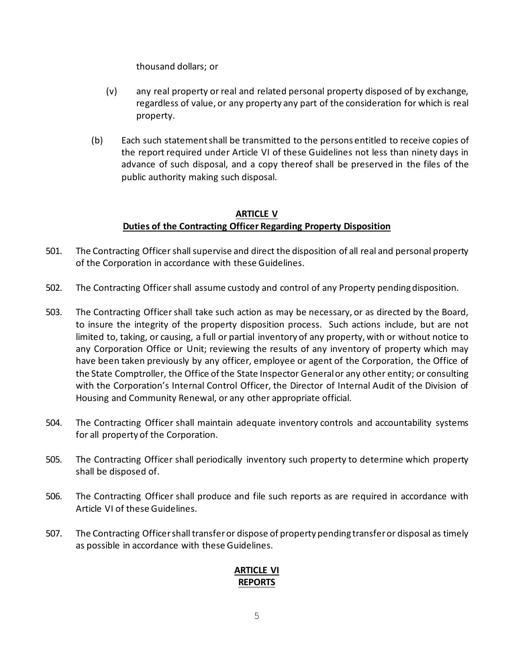thousand dollars; or

- (v) any real property or real and related personal property disposed of by exchange, regardless of value, or any property any part of the consideration for which is real property.
- (b) Each such statement shall be transmitted to the persons entitled to receive copies of the report required under Article VI of these Guidelines not less than ninety days in advance of such disposal, and a copy thereof shall be preserved in the files of the public authority making such disposal.

## **ARTICLE V Duties of the Contracting Officer Regarding Property Disposition**

- 501. The Contracting Officer shall supervise and direct the disposition of all real and personal property of the Corporation in accordance with these Guidelines.
- 502. The Contracting Officer shall assume custody and control of any Property pending disposition.
- 503. The Contracting Officer shall take such action as may be necessary, or as directed by the Board, to insure the integrity of the property disposition process. Such actions include, but are not limited to, taking, or causing, a full or partial inventory of any property, with or without notice to any Corporation Office or Unit; reviewing the results of any inventory of property which may have been taken previously by any officer, employee or agent of the Corporation, the Office of the State Comptroller, the Office of the State Inspector General or any other entity; or consulting with the Corporation's Internal Control Officer, the Director of Internal Audit of the Division of Housing and Community Renewal, or any other appropriate official.
- 504. The Contracting Officer shall maintain adequate inventory controls and accountability systems for all property of the Corporation.
- 505. The Contracting Officer shall periodically inventory such property to determine which property shall be disposed of.
- 506. The Contracting Officer shall produce and file such reports as are required in accordance with Article VI of these Guidelines.
- 507. The Contracting Officer shall transfer or dispose of property pending transfer or disposal as timely as possible in accordance with these Guidelines.

## **ARTICLE VI REPORTS**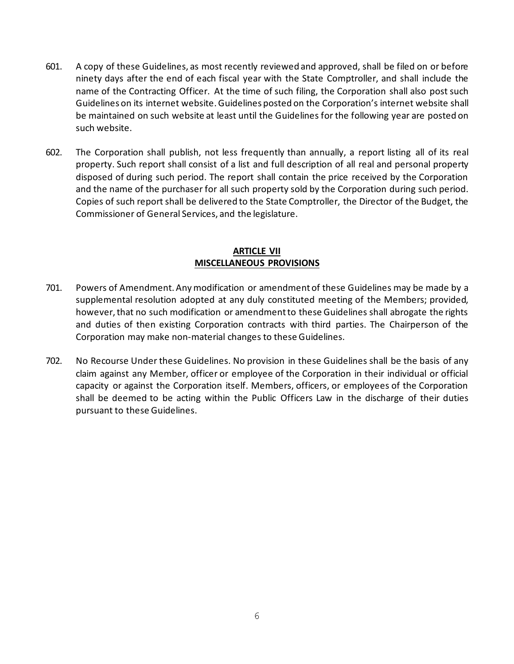- 601. A copy of these Guidelines, as most recently reviewed and approved, shall be filed on or before ninety days after the end of each fiscal year with the State Comptroller, and shall include the name of the Contracting Officer. At the time of such filing, the Corporation shall also post such Guidelines on its internet website. Guidelines posted on the Corporation's internet website shall be maintained on such website at least until the Guidelines for the following year are posted on such website.
- 602. The Corporation shall publish, not less frequently than annually, a report listing all of its real property. Such report shall consist of a list and full description of all real and personal property disposed of during such period. The report shall contain the price received by the Corporation and the name of the purchaser for all such property sold by the Corporation during such period. Copies of such report shall be delivered to the State Comptroller, the Director of the Budget, the Commissioner of General Services, and the legislature.

#### **ARTICLE VII MISCELLANEOUS PROVISIONS**

- 701. Powers of Amendment. Any modification or amendment of these Guidelines may be made by a supplemental resolution adopted at any duly constituted meeting of the Members; provided, however, that no such modification or amendment to these Guidelines shall abrogate the rights and duties of then existing Corporation contracts with third parties. The Chairperson of the Corporation may make non-material changes to these Guidelines.
- 702. No Recourse Under these Guidelines. No provision in these Guidelines shall be the basis of any claim against any Member, officer or employee of the Corporation in their individual or official capacity or against the Corporation itself. Members, officers, or employees of the Corporation shall be deemed to be acting within the Public Officers Law in the discharge of their duties pursuant to these Guidelines.